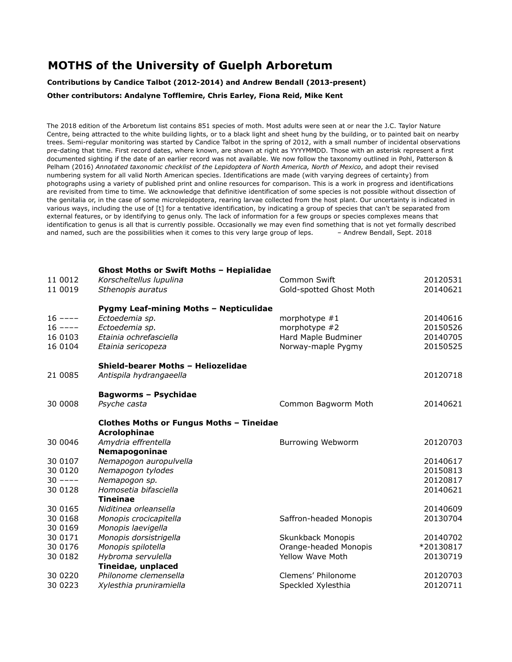## **MOTHS of the University of Guelph Arboretum**

**Contributions by Candice Talbot (2012-2014) and Andrew Bendall (2013-present)**

**Other contributors: Andalyne Tofflemire, Chris Earley, Fiona Reid, Mike Kent**

The 2018 edition of the Arboretum list contains 851 species of moth. Most adults were seen at or near the J.C. Taylor Nature Centre, being attracted to the white building lights, or to a black light and sheet hung by the building, or to painted bait on nearby trees. Semi-regular monitoring was started by Candice Talbot in the spring of 2012, with a small number of incidental observations pre-dating that time. First record dates, where known, are shown at right as YYYYMMDD. Those with an asterisk represent a first documented sighting if the date of an earlier record was not available. We now follow the taxonomy outlined in Pohl, Patterson & Pelham (2016) *Annotated taxonomic checklist of the Lepidoptera of North America, North of Mexico*, and adopt their revised numbering system for all valid North American species. Identifications are made (with varying degrees of certainty) from photographs using a variety of published print and online resources for comparison. This is a work in progress and identifications are revisited from time to time. We acknowledge that definitive identification of some species is not possible without dissection of the genitalia or, in the case of some microlepidoptera, rearing larvae collected from the host plant. Our uncertainty is indicated in various ways, including the use of [t] for a tentative identification, by indicating a group of species that can't be separated from external features, or by identifying to genus only. The lack of information for a few groups or species complexes means that identification to genus is all that is currently possible. Occasionally we may even find something that is not yet formally described and named, such are the possibilities when it comes to this very large group of leps. - - Andrew Bendall, Sept. 2018

| 11 0012<br>11 0019                           | <b>Ghost Moths or Swift Moths - Hepialidae</b><br>Korscheltellus lupulina<br>Sthenopis auratus                             | Common Swift<br>Gold-spotted Ghost Moth                                       | 20120531<br>20140621                         |
|----------------------------------------------|----------------------------------------------------------------------------------------------------------------------------|-------------------------------------------------------------------------------|----------------------------------------------|
| $16$ ----<br>$16$ ----<br>16 0103<br>16 0104 | Pygmy Leaf-mining Moths - Nepticulidae<br>Ectoedemia sp.<br>Ectoedemia sp.<br>Etainia ochrefasciella<br>Etainia sericopeza | morphotype $#1$<br>morphotype #2<br>Hard Maple Budminer<br>Norway-maple Pygmy | 20140616<br>20150526<br>20140705<br>20150525 |
| 21 0085                                      | Shield-bearer Moths - Heliozelidae<br>Antispila hydrangaeella                                                              |                                                                               | 20120718                                     |
| 30 0008                                      | <b>Bagworms - Psychidae</b><br>Psyche casta                                                                                | Common Bagworm Moth                                                           | 20140621                                     |
|                                              | <b>Clothes Moths or Fungus Moths - Tineidae</b><br>Acrolophinae                                                            |                                                                               |                                              |
| 30 0046                                      | Amydria effrentella                                                                                                        | <b>Burrowing Webworm</b>                                                      | 20120703                                     |
| 30 0107                                      | Nemapogoninae<br>Nemapogon auropulvella                                                                                    |                                                                               | 20140617                                     |
| 30 0120                                      | Nemapogon tylodes                                                                                                          |                                                                               | 20150813                                     |
| $30$ ----<br>30 0128                         | Nemapogon sp.<br>Homosetia bifasciella<br><b>Tineinae</b>                                                                  |                                                                               | 20120817<br>20140621                         |
| 30 0165                                      | Niditinea orleansella                                                                                                      |                                                                               | 20140609                                     |
| 30 0168<br>30 0169                           | Monopis crocicapitella<br>Monopis laevigella                                                                               | Saffron-headed Monopis                                                        | 20130704                                     |
| 30 0171                                      | Monopis dorsistrigella                                                                                                     | Skunkback Monopis                                                             | 20140702                                     |
| 30 0176                                      | Monopis spilotella                                                                                                         | Orange-headed Monopis                                                         | *20130817                                    |
| 30 0182                                      | Hybroma servulella<br>Tineidae, unplaced                                                                                   | <b>Yellow Wave Moth</b>                                                       | 20130719                                     |
| 30 0220                                      | Philonome clemensella                                                                                                      | Clemens' Philonome                                                            | 20120703                                     |
| 30 0223                                      | Xylesthia pruniramiella                                                                                                    | Speckled Xylesthia                                                            | 20120711                                     |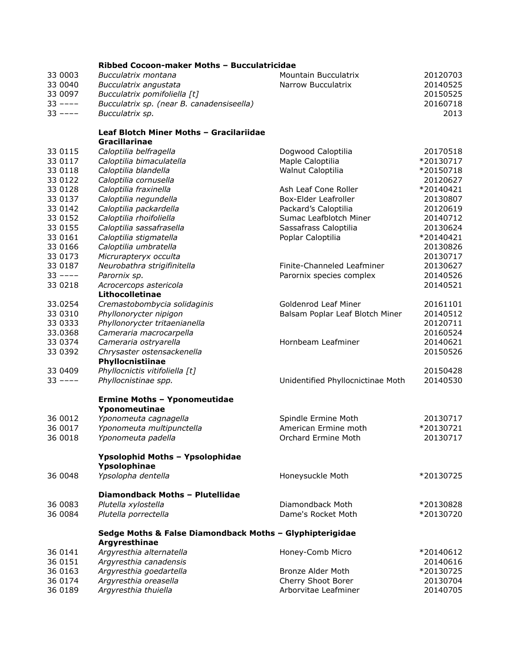|           | Ribbed Cocoon-maker Moths - Bucculatricidae              |                                   |           |
|-----------|----------------------------------------------------------|-----------------------------------|-----------|
| 33 0003   | Bucculatrix montana                                      | Mountain Bucculatrix              | 20120703  |
| 33 0040   | Bucculatrix angustata                                    | Narrow Bucculatrix                | 20140525  |
| 33 0097   | Bucculatrix pomifoliella [t]                             |                                   | 20150525  |
| $33$ ---- | Bucculatrix sp. (near B. canadensiseella)                |                                   | 20160718  |
| $33$ ---- | Bucculatrix sp.                                          |                                   | 2013      |
|           |                                                          |                                   |           |
|           | Leaf Blotch Miner Moths - Gracilariidae                  |                                   |           |
|           | <b>Gracillarinae</b>                                     |                                   |           |
| 33 0115   | Caloptilia belfragella                                   | Dogwood Caloptilia                | 20170518  |
| 33 0117   | Caloptilia bimaculatella                                 | Maple Caloptilia                  | *20130717 |
| 33 0118   | Caloptilia blandella                                     | Walnut Caloptilia                 | *20150718 |
| 33 0122   | Caloptilia cornusella                                    |                                   | 20120627  |
| 33 0128   | Caloptilia fraxinella                                    | Ash Leaf Cone Roller              | *20140421 |
| 33 0137   | Caloptilia negundella                                    | Box-Elder Leafroller              | 20130807  |
| 33 0142   | Caloptilia packardella                                   | Packard's Caloptilia              | 20120619  |
| 33 0152   | Caloptilia rhoifoliella                                  | Sumac Leafblotch Miner            | 20140712  |
| 33 0155   | Caloptilia sassafrasella                                 | Sassafrass Caloptilia             | 20130624  |
| 33 0161   | Caloptilia stigmatella                                   | Poplar Caloptilia                 | *20140421 |
| 33 0166   | Caloptilia umbratella                                    |                                   | 20130826  |
| 33 0173   | Micrurapteryx occulta                                    |                                   | 20130717  |
| 33 0187   | Neurobathra strigifinitella                              | Finite-Channeled Leafminer        | 20130627  |
| $33$ ---- | Parornix sp.                                             | Parornix species complex          | 20140526  |
| 33 0218   | Acrocercops astericola                                   |                                   | 20140521  |
|           | Lithocolletinae                                          |                                   |           |
| 33.0254   | Cremastobombycia solidaginis                             | Goldenrod Leaf Miner              | 20161101  |
| 33 0310   | Phyllonorycter nipigon                                   | Balsam Poplar Leaf Blotch Miner   | 20140512  |
| 33 0333   | Phyllonorycter tritaenianella                            |                                   | 20120711  |
| 33.0368   | Cameraria macrocarpella                                  |                                   | 20160524  |
| 33 0374   | Cameraria ostryarella                                    | Hornbeam Leafminer                | 20140621  |
| 33 0392   | Chrysaster ostensackenella                               |                                   | 20150526  |
|           | Phyllocnistiinae                                         |                                   |           |
| 33 0409   | Phyllocnictis vitifoliella [t]                           |                                   | 20150428  |
| $33$ ---- | Phyllocnistinae spp.                                     | Unidentified Phyllocnictinae Moth | 20140530  |
|           |                                                          |                                   |           |
|           | <b>Ermine Moths - Yponomeutidae</b>                      |                                   |           |
|           | Yponomeutinae                                            |                                   |           |
| 36 0012   | Yponomeuta cagnagella                                    | Spindle Ermine Moth               | 20130717  |
| 36 0017   | Yponomeuta multipunctella                                | American Ermine moth              | *20130721 |
| 36 0018   | Yponomeuta padella                                       | Orchard Ermine Moth               | 20130717  |
|           |                                                          |                                   |           |
|           | Ypsolophid Moths - Ypsolophidae                          |                                   |           |
|           | Ypsolophinae                                             |                                   |           |
| 36 0048   | Ypsolopha dentella                                       | Honeysuckle Moth                  | *20130725 |
|           | Diamondback Moths - Plutellidae                          |                                   |           |
| 36 0083   | Plutella xylostella                                      | Diamondback Moth                  | *20130828 |
| 36 0084   | Plutella porrectella                                     | Dame's Rocket Moth                | *20130720 |
|           |                                                          |                                   |           |
|           | Sedge Moths & False Diamondback Moths - Glyphipterigidae |                                   |           |
|           | Argyresthinae                                            |                                   |           |
| 36 0141   | Argyresthia alternatella                                 | Honey-Comb Micro                  | *20140612 |
| 36 0151   | Argyresthia canadensis                                   |                                   | 20140616  |
| 36 0163   | Argyresthia goedartella                                  | Bronze Alder Moth                 | *20130725 |
| 36 0174   | Argyresthia oreasella                                    | Cherry Shoot Borer                | 20130704  |
| 36 0189   | Argyresthia thuiella                                     | Arborvitae Leafminer              | 20140705  |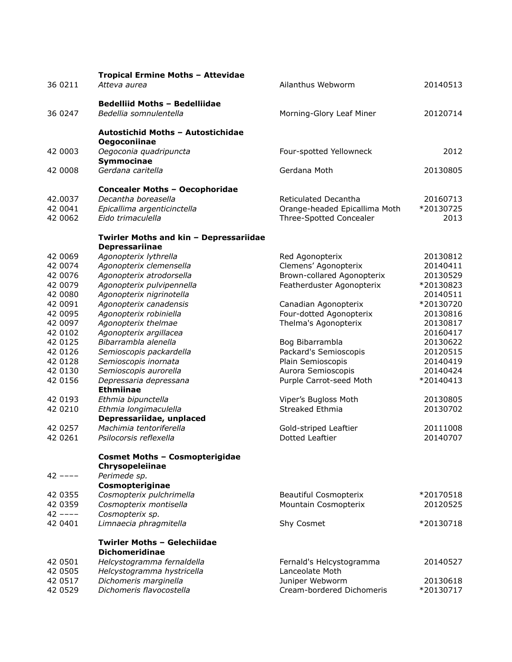| 36 0211            | Tropical Ermine Moths - Attevidae<br>Atteva aurea              | Ailanthus Webworm                                        | 20140513             |
|--------------------|----------------------------------------------------------------|----------------------------------------------------------|----------------------|
| 36 0247            | <b>Bedelliid Moths - Bedelliidae</b><br>Bedellia somnulentella | Morning-Glory Leaf Miner                                 | 20120714             |
|                    | Autostichid Moths - Autostichidae                              |                                                          |                      |
|                    | Oegoconiinae                                                   |                                                          |                      |
| 42 0003            | Oegoconia quadripuncta<br>Symmocinae                           | Four-spotted Yellowneck                                  | 2012                 |
| 42 0008            | Gerdana caritella                                              | Gerdana Moth                                             | 20130805             |
|                    | <b>Concealer Moths - Oecophoridae</b>                          |                                                          |                      |
| 42.0037            | Decantha boreasella                                            | Reticulated Decantha                                     | 20160713             |
| 42 0041<br>42 0062 | Epicallima argenticinctella<br>Eido trimaculella               | Orange-headed Epicallima Moth<br>Three-Spotted Concealer | *20130725<br>2013    |
|                    | Twirler Moths and kin - Depressariidae                         |                                                          |                      |
|                    | Depressariinae                                                 |                                                          |                      |
| 42 0069            | Agonopterix lythrella                                          | Red Agonopterix                                          | 20130812             |
| 42 0074            | Agonopterix clemensella                                        | Clemens' Agonopterix                                     | 20140411             |
| 42 0076            | Agonopterix atrodorsella                                       | Brown-collared Agonopterix                               | 20130529             |
| 42 0079            | Agonopterix pulvipennella                                      | Featherduster Agonopterix                                | *20130823            |
| 42 0080            | Agonopterix nigrinotella                                       |                                                          | 20140511             |
| 42 0091            | Agonopterix canadensis                                         | Canadian Agonopterix                                     | *20130720            |
| 42 0095            | Agonopterix robiniella                                         | Four-dotted Agonopterix                                  | 20130816             |
| 42 0097            | Agonopterix thelmae                                            | Thelma's Agonopterix                                     | 20130817             |
| 42 0102<br>42 0125 | Agonopterix argillacea<br>Bibarrambla alenella                 | Bog Bibarrambla                                          | 20160417<br>20130622 |
| 42 0126            | Semioscopis packardella                                        | Packard's Semioscopis                                    | 20120515             |
| 42 0128            | Semioscopis inornata                                           | Plain Semioscopis                                        | 20140419             |
| 42 0130            | Semioscopis aurorella                                          | Aurora Semioscopis                                       | 20140424             |
| 42 0156            | Depressaria depressana                                         | Purple Carrot-seed Moth                                  | *20140413            |
|                    | <b>Ethmiinae</b>                                               |                                                          |                      |
| 42 0193            | Ethmia bipunctella                                             | Viper's Bugloss Moth                                     | 20130805             |
| 42 0210            | Ethmia longimaculella                                          | Streaked Ethmia                                          | 20130702             |
|                    | Depressariidae, unplaced                                       |                                                          |                      |
| 42 0257            | Machimia tentoriferella                                        | Gold-striped Leaftier                                    | 20111008             |
| 42 0261            | Psilocorsis reflexella                                         | <b>Dotted Leaftier</b>                                   | 20140707             |
|                    | <b>Cosmet Moths - Cosmopterigidae</b><br>Chrysopeleiinae       |                                                          |                      |
| $42$ ----          | Perimede sp.                                                   |                                                          |                      |
|                    | Cosmopteriginae                                                |                                                          |                      |
| 42 0355            | Cosmopterix pulchrimella                                       | Beautiful Cosmopterix                                    | *20170518            |
| 42 0359            | Cosmopterix montisella                                         | Mountain Cosmopterix                                     | 20120525             |
| $42$ ----          | Cosmopterix sp.                                                |                                                          |                      |
| 42 0401            | Limnaecia phragmitella                                         | Shy Cosmet                                               | *20130718            |
|                    | <b>Twirler Moths - Gelechiidae</b>                             |                                                          |                      |
|                    | <b>Dichomeridinae</b>                                          |                                                          |                      |
| 42 0501<br>42 0505 | Helcystogramma fernaldella<br>Helcystogramma hystricella       | Fernald's Helcystogramma<br>Lanceolate Moth              | 20140527             |
| 42 0517            | Dichomeris marginella                                          | Juniper Webworm                                          | 20130618             |
| 42 0529            | Dichomeris flavocostella                                       | Cream-bordered Dichomeris                                | *20130717            |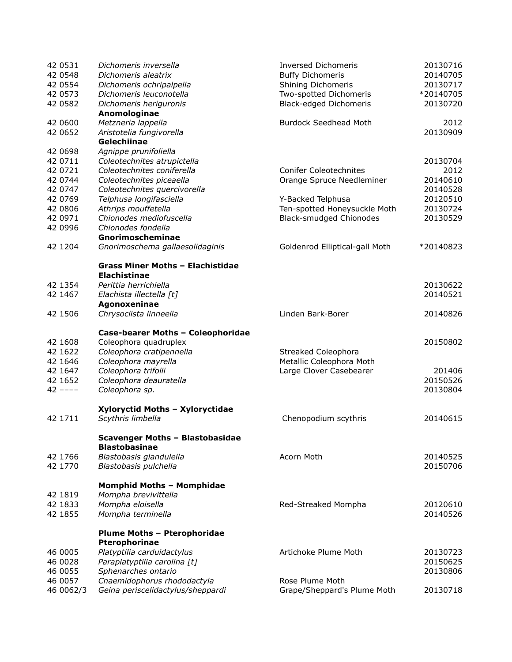| 42 0531<br>42 0548<br>42 0554 | Dichomeris inversella<br>Dichomeris aleatrix<br>Dichomeris ochripalpella | <b>Inversed Dichomeris</b><br><b>Buffy Dichomeris</b><br>Shining Dichomeris | 20130716<br>20140705<br>20130717 |
|-------------------------------|--------------------------------------------------------------------------|-----------------------------------------------------------------------------|----------------------------------|
| 42 0573<br>42 0582            | Dichomeris leuconotella<br>Dichomeris heriguronis<br>Anomologinae        | Two-spotted Dichomeris<br>Black-edged Dichomeris                            | *20140705<br>20130720            |
| 42 0600<br>42 0652            | Metzneria lappella<br>Aristotelia fungivorella                           | <b>Burdock Seedhead Moth</b>                                                | 2012<br>20130909                 |
|                               | Gelechiinae                                                              |                                                                             |                                  |
| 42 0698                       | Agnippe prunifoliella                                                    |                                                                             |                                  |
| 42 0711<br>42 0721            | Coleotechnites atrupictella<br>Coleotechnites coniferella                | <b>Conifer Coleotechnites</b>                                               | 20130704<br>2012                 |
| 42 0744                       | Coleotechnites piceaella                                                 | Orange Spruce Needleminer                                                   | 20140610                         |
| 42 0747                       | Coleotechnites quercivorella                                             |                                                                             | 20140528                         |
| 42 0769                       | Telphusa longifasciella                                                  | Y-Backed Telphusa                                                           | 20120510                         |
| 42 0806                       | Athrips mouffetella                                                      | Ten-spotted Honeysuckle Moth                                                | 20130724                         |
| 42 0971                       | Chionodes mediofuscella                                                  | <b>Black-smudged Chionodes</b>                                              | 20130529                         |
| 42 0996                       | Chionodes fondella                                                       |                                                                             |                                  |
|                               | Gnorimoscheminae                                                         |                                                                             |                                  |
| 42 1204                       | Gnorimoschema gallaesolidaginis                                          | Goldenrod Elliptical-gall Moth                                              | *20140823                        |
|                               | <b>Grass Miner Moths - Elachistidae</b><br><b>Elachistinae</b>           |                                                                             |                                  |
| 42 1354                       | Perittia herrichiella                                                    |                                                                             | 20130622                         |
| 42 1467                       | Elachista illectella [t]                                                 |                                                                             | 20140521                         |
|                               | Agonoxeninae                                                             |                                                                             |                                  |
| 42 1506                       | Chrysoclista linneella                                                   | Linden Bark-Borer                                                           | 20140826                         |
|                               | Case-bearer Moths - Coleophoridae                                        |                                                                             |                                  |
| 42 1608<br>42 1622            | Coleophora quadruplex<br>Coleophora cratipennella                        | Streaked Coleophora                                                         | 20150802                         |
| 42 1646                       | Coleophora mayrella                                                      | Metallic Coleophora Moth                                                    |                                  |
| 42 1647                       | Coleophora trifolii                                                      | Large Clover Casebearer                                                     | 201406                           |
| 42 1652                       | Coleophora deauratella                                                   |                                                                             | 20150526                         |
| $42$ ----                     | Coleophora sp.                                                           |                                                                             | 20130804                         |
|                               | Xyloryctid Moths - Xyloryctidae                                          |                                                                             |                                  |
| 42 1711                       | Scythris limbella                                                        | Chenopodium scythris                                                        | 20140615                         |
|                               | <b>Scavenger Moths - Blastobasidae</b><br><b>Blastobasinae</b>           |                                                                             |                                  |
| 42 1766                       | Blastobasis glandulella                                                  | Acorn Moth                                                                  | 20140525                         |
| 42 1770                       | Blastobasis pulchella                                                    |                                                                             | 20150706                         |
|                               | <b>Momphid Moths - Momphidae</b>                                         |                                                                             |                                  |
| 42 1819<br>42 1833            | Mompha brevivittella<br>Mompha eloisella                                 |                                                                             | 20120610                         |
| 42 1855                       | Mompha terminella                                                        | Red-Streaked Mompha                                                         | 20140526                         |
|                               | <b>Plume Moths - Pterophoridae</b>                                       |                                                                             |                                  |
|                               | Pterophorinae                                                            |                                                                             |                                  |
| 46 0005                       | Platyptilia carduidactylus                                               | Artichoke Plume Moth                                                        | 20130723                         |
| 46 0028                       | Paraplatyptilia carolina [t]                                             |                                                                             | 20150625                         |
| 46 0055<br>46 0057            | Sphenarches ontario<br>Cnaemidophorus rhododactyla                       | Rose Plume Moth                                                             | 20130806                         |
| 46 0062/3                     | Geina periscelidactylus/sheppardi                                        | Grape/Sheppard's Plume Moth                                                 | 20130718                         |
|                               |                                                                          |                                                                             |                                  |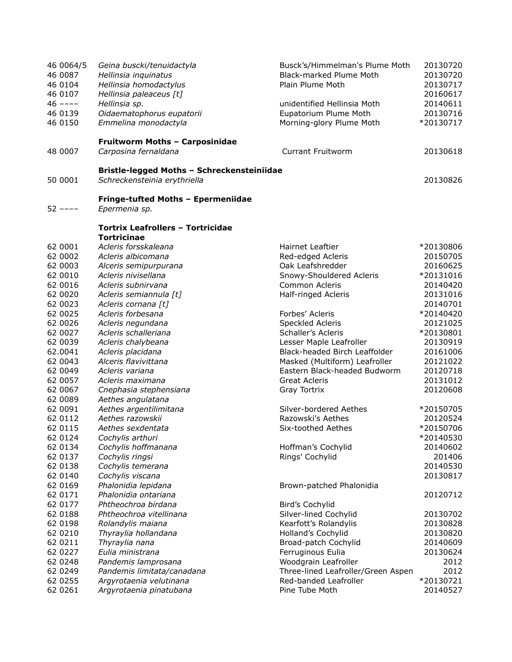| 46 0064/5<br>46 0087<br>46 0104<br>46 0107<br>$46$ ----<br>46 0139<br>46 0150 | Geina buscki/tenuidactyla<br>Hellinsia inquinatus<br>Hellinsia homodactylus<br>Hellinsia paleaceus [t]<br>Hellinsia sp.<br>Oidaematophorus eupatorii<br>Emmelina monodactyla | Busck's/Himmelman's Plume Moth<br>Black-marked Plume Moth<br>Plain Plume Moth<br>unidentified Hellinsia Moth<br>Eupatorium Plume Moth<br>Morning-glory Plume Moth | 20130720<br>20130720<br>20130717<br>20160617<br>20140611<br>20130716<br>*20130717 |
|-------------------------------------------------------------------------------|------------------------------------------------------------------------------------------------------------------------------------------------------------------------------|-------------------------------------------------------------------------------------------------------------------------------------------------------------------|-----------------------------------------------------------------------------------|
| 48 0007                                                                       | Fruitworm Moths - Carposinidae<br>Carposina fernaldana                                                                                                                       | <b>Currant Fruitworm</b>                                                                                                                                          | 20130618                                                                          |
| 50 0001                                                                       | Bristle-legged Moths - Schreckensteiniidae<br>Schreckensteinia erythriella                                                                                                   |                                                                                                                                                                   | 20130826                                                                          |
| $52$ ----                                                                     | Fringe-tufted Moths - Epermeniidae<br>Epermenia sp.                                                                                                                          |                                                                                                                                                                   |                                                                                   |
|                                                                               | <b>Tortrix Leafrollers - Tortricidae</b><br><b>Tortricinae</b>                                                                                                               |                                                                                                                                                                   |                                                                                   |
| 62 0001                                                                       | Acleris forsskaleana                                                                                                                                                         | Hairnet Leaftier                                                                                                                                                  | *20130806                                                                         |
| 62 0002                                                                       | Acleris albicomana                                                                                                                                                           | Red-edged Acleris                                                                                                                                                 | 20150705                                                                          |
| 62 0003                                                                       | Alceris semipurpurana                                                                                                                                                        | Oak Leafshredder                                                                                                                                                  | 20160625                                                                          |
| 62 0010                                                                       | Acleris nivisellana                                                                                                                                                          | Snowy-Shouldered Acleris                                                                                                                                          | *20131016                                                                         |
| 62 0016                                                                       | Acleris subnirvana                                                                                                                                                           | Common Acleris                                                                                                                                                    | 20140420                                                                          |
| 62 0020                                                                       | Acleris semiannula [t]                                                                                                                                                       | Half-ringed Acleris                                                                                                                                               | 20131016                                                                          |
| 62 0023                                                                       | Acleris cornana [t]                                                                                                                                                          |                                                                                                                                                                   | 20140701                                                                          |
| 62 0025                                                                       | Acleris forbesana                                                                                                                                                            | Forbes' Acleris                                                                                                                                                   | *20140420                                                                         |
| 62 0026                                                                       | Acleris negundana                                                                                                                                                            | Speckled Acleris                                                                                                                                                  | 20121025                                                                          |
| 62 0027                                                                       | Acleris schalleriana                                                                                                                                                         | Schaller's Acleris                                                                                                                                                | *20130801                                                                         |
| 62 0039                                                                       | Acleris chalybeana                                                                                                                                                           | Lesser Maple Leafroller                                                                                                                                           | 20130919                                                                          |
| 62.0041                                                                       | Acleris placidana                                                                                                                                                            | Black-headed Birch Leaffolder                                                                                                                                     | 20161006                                                                          |
| 62 0043                                                                       | Alceris flavivittana                                                                                                                                                         | Masked (Multiform) Leafroller                                                                                                                                     | 20121022                                                                          |
| 62 0049                                                                       | Acleris variana                                                                                                                                                              | Eastern Black-headed Budworm                                                                                                                                      | 20120718                                                                          |
| 62 0057                                                                       | Acleris maximana                                                                                                                                                             | <b>Great Acleris</b>                                                                                                                                              | 20131012                                                                          |
| 62 0067                                                                       | Cnephasia stephensiana                                                                                                                                                       | Gray Tortrix                                                                                                                                                      | 20120608                                                                          |
| 62 0089                                                                       | Aethes angulatana                                                                                                                                                            |                                                                                                                                                                   |                                                                                   |
| 62 0091                                                                       | Aethes argentilimitana                                                                                                                                                       | Silver-bordered Aethes                                                                                                                                            | *20150705                                                                         |
| 62 0112                                                                       | Aethes razowskii                                                                                                                                                             | Razowski's Aethes                                                                                                                                                 | 20120524                                                                          |
| 62 0115                                                                       | Aethes sexdentata                                                                                                                                                            | Six-toothed Aethes                                                                                                                                                | *20150706                                                                         |
| 62 0124                                                                       | Cochylis arthuri                                                                                                                                                             |                                                                                                                                                                   | *20140530                                                                         |
| 62 0134                                                                       | Cochylis hoffmanana                                                                                                                                                          | Hoffman's Cochylid                                                                                                                                                | 20140602                                                                          |
| 62 0137                                                                       | Cochylis ringsi                                                                                                                                                              | Rings' Cochylid                                                                                                                                                   | 201406                                                                            |
| 62 0138                                                                       | Cochylis temerana                                                                                                                                                            |                                                                                                                                                                   | 20140530                                                                          |
| 62 0140                                                                       | Cochylis viscana                                                                                                                                                             |                                                                                                                                                                   | 20130817                                                                          |
| 62 0169                                                                       | Phalonidia lepidana                                                                                                                                                          | Brown-patched Phalonidia                                                                                                                                          |                                                                                   |
| 62 0171                                                                       | Phalonidia ontariana                                                                                                                                                         |                                                                                                                                                                   | 20120712                                                                          |
| 62 0177                                                                       | Phtheochroa birdana                                                                                                                                                          | Bird's Cochylid                                                                                                                                                   |                                                                                   |
| 62 0188                                                                       | Phtheochroa vitellinana                                                                                                                                                      | Silver-lined Cochylid                                                                                                                                             | 20130702                                                                          |
| 62 0198                                                                       | Rolandylis maiana                                                                                                                                                            | Kearfott's Rolandylis                                                                                                                                             | 20130828                                                                          |
| 62 0210                                                                       | Thyraylia hollandana                                                                                                                                                         | Holland's Cochylid                                                                                                                                                | 20130820                                                                          |
| 62 0211                                                                       | Thyraylia nana                                                                                                                                                               | Broad-patch Cochylid                                                                                                                                              | 20140609                                                                          |
| 62 0227                                                                       | Eulia ministrana                                                                                                                                                             | Ferruginous Eulia                                                                                                                                                 | 20130624                                                                          |
| 62 0248                                                                       | Pandemis lamprosana                                                                                                                                                          | Woodgrain Leafroller                                                                                                                                              | 2012                                                                              |
| 62 0249                                                                       | Pandemis limitata/canadana                                                                                                                                                   | Three-lined Leafroller/Green Aspen                                                                                                                                | 2012                                                                              |
| 62 0255<br>62 0261                                                            | Argyrotaenia velutinana<br>Argyrotaenia pinatubana                                                                                                                           | Red-banded Leafroller<br>Pine Tube Moth                                                                                                                           | *20130721<br>20140527                                                             |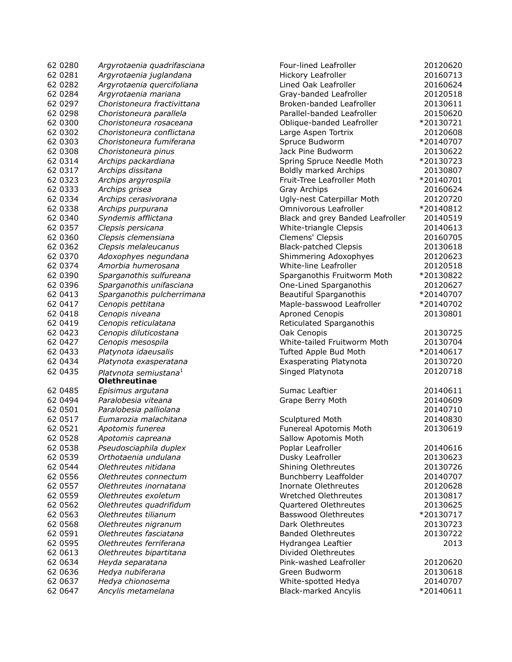| 62 0280            | Argyrotaenia quadrifasciana                               | Four-lined Leafroller         |
|--------------------|-----------------------------------------------------------|-------------------------------|
| 62 0281            | Argyrotaenia juglandana                                   | Hickory Leafroller            |
| 62 0282            | Argyrotaenia quercifoliana                                | Lined Oak Leafroller          |
| 62 0284            | Argyrotaenia mariana                                      | Gray-banded Leafroller        |
| 62 0297            | Choristoneura fractivittana                               | Broken-banded Leafroller      |
| 62 0298            | Choristoneura parallela                                   | Parallel-banded Leafroller    |
| 62 0300            | Choristoneura rosaceana                                   | Oblique-banded Leafrolle      |
| 62 0302            | Choristoneura conflictana                                 | Large Aspen Tortrix           |
| 62 0303            | Choristoneura fumiferana                                  | Spruce Budworm                |
| 62 0308            | Choristoneura pinus                                       | Jack Pine Budworm             |
|                    | Archips packardiana                                       |                               |
| 62 0314<br>62 0317 |                                                           | Spring Spruce Needle Mo       |
|                    | Archips dissitana                                         | Boldly marked Archips         |
| 62 0323            | Archips argyrospila                                       | Fruit-Tree Leafroller Moth    |
| 62 0333            | Archips grisea                                            | Gray Archips                  |
| 62 0334            | Archips cerasivorana                                      | Ugly-nest Caterpillar Mot     |
| 62 0338            | Archips purpurana                                         | Omnivorous Leafroller         |
| 62 0340            | Syndemis afflictana                                       | Black and grey Banded L       |
| 62 0357            | Clepsis persicana                                         | White-triangle Clepsis        |
| 62 0360            | Clepsis clemensiana                                       | Clemens' Clepsis              |
| 62 0362            | Clepsis melaleucanus                                      | <b>Black-patched Clepsis</b>  |
| 62 0370            | Adoxophyes negundana                                      | Shimmering Adoxophyes         |
| 62 0374            | Amorbia humerosana                                        | White-line Leafroller         |
| 62 0390            | Sparganothis sulfureana                                   | Sparganothis Fruitworm        |
| 62 0396            | Sparganothis unifasciana                                  | One-Lined Sparganothis        |
| 62 0413            | Sparganothis pulcherrimana                                | <b>Beautiful Sparganothis</b> |
| 62 0417            | Cenopis pettitana                                         | Maple-basswood Leafroll       |
| 62 0418            | Cenopis niveana                                           | <b>Aproned Cenopis</b>        |
| 62 0419            | Cenopis reticulatana                                      | Reticulated Sparganothis      |
| 62 0423            | Cenopis diluticostana                                     | Oak Cenopis                   |
| 62 0427            | Cenopis mesospila                                         | White-tailed Fruitworm M      |
| 62 0433            | Platynota idaeusalis                                      | Tufted Apple Bud Moth         |
| 62 0434            | Platynota exasperatana                                    | <b>Exasperating Platynota</b> |
| 62 0435            |                                                           |                               |
|                    | Platvnota semiustana <sup>1</sup><br><b>Olethreutinae</b> | Singed Platynota              |
| 62 0485            | Episimus argutana                                         | Sumac Leaftier                |
| 62 0494            | Paralobesia viteana                                       | Grape Berry Moth              |
| 62 0501            | Paralobesia palliolana                                    |                               |
| 62 0517            | Eumarozia malachitana                                     | Sculptured Moth               |
| 62 0521            | Apotomis funerea                                          | Funereal Apotomis Moth        |
| 62 0528            | Apotomis capreana                                         | Sallow Apotomis Moth          |
| 62 0538            | Pseudosciaphila duplex                                    | Poplar Leafroller             |
| 62 0539            | Orthotaenia undulana                                      | Dusky Leafroller              |
| 62 0544            | Olethreutes nitidana                                      | Shining Olethreutes           |
| 62 0556            | Olethreutes connectum                                     | Bunchberry Leaffolder         |
| 62 0557            | Olethreutes inornatana                                    | Inornate Olethreutes          |
|                    |                                                           |                               |
| 62 0559            | Olethreutes exoletum                                      | Wretched Olethreutes          |
| 62 0562            | Olethreutes quadrifidum                                   | Quartered Olethreutes         |
| 62 0563            | Olethreutes tilianum                                      | Basswood Olethreutes          |
| 62 0568            | Olethreutes nigranum                                      | Dark Olethreutes              |
| 62 0591            | Olethreutes fasciatana                                    | <b>Banded Olethreutes</b>     |
| 62 0595            | Olethreutes ferriferana                                   | Hydrangea Leaftier            |
| 62 0613            | Olethreutes bipartitana                                   | Divided Olethreutes           |
| 62 0634            | Heyda separatana                                          | Pink-washed Leafroller        |
| 62 0636            | Hedya nubiferana                                          | Green Budworm                 |
| 62 0637            | Hedya chionosema                                          | White-spotted Hedya           |
| 62 0647            | Ancylis metamelana                                        | <b>Black-marked Ancylis</b>   |
|                    |                                                           |                               |

| 62 0280 | Argyrotaenia quadrifasciana                               | Four-lined Leafroller            | 20120620  |
|---------|-----------------------------------------------------------|----------------------------------|-----------|
| 62 0281 | Argyrotaenia juglandana                                   | Hickory Leafroller               | 20160713  |
| 62 0282 | Argyrotaenia quercifoliana                                | Lined Oak Leafroller             | 20160624  |
| 62 0284 | Argyrotaenia mariana                                      | Gray-banded Leafroller           | 20120518  |
| 62 0297 | Choristoneura fractivittana                               | Broken-banded Leafroller         | 20130611  |
| 62 0298 | Choristoneura parallela                                   | Parallel-banded Leafroller       | 20150620  |
| 62 0300 | Choristoneura rosaceana                                   | Oblique-banded Leafroller        | *20130721 |
| 62 0302 | Choristoneura conflictana                                 | Large Aspen Tortrix              | 20120608  |
| 62 0303 | Choristoneura fumiferana                                  | Spruce Budworm                   | *20140707 |
| 62 0308 | Choristoneura pinus                                       | Jack Pine Budworm                | 20130622  |
| 62 0314 | Archips packardiana                                       | Spring Spruce Needle Moth        | *20130723 |
| 62 0317 | Archips dissitana                                         | Boldly marked Archips            | 20130807  |
| 62 0323 | Archips argyrospila                                       | Fruit-Tree Leafroller Moth       | *20140701 |
| 62 0333 | Archips grisea                                            | Gray Archips                     | 20160624  |
| 62 0334 | Archips cerasivorana                                      | Ugly-nest Caterpillar Moth       | 20120720  |
| 62 0338 | Archips purpurana                                         | Omnivorous Leafroller            | *20140812 |
| 62 0340 | Syndemis afflictana                                       | Black and grey Banded Leafroller | 20140519  |
| 62 0357 | Clepsis persicana                                         | White-triangle Clepsis           | 20140613  |
| 62 0360 | Clepsis clemensiana                                       | Clemens' Clepsis                 | 20160705  |
| 62 0362 | Clepsis melaleucanus                                      | <b>Black-patched Clepsis</b>     | 20130618  |
| 62 0370 | Adoxophyes negundana                                      | Shimmering Adoxophyes            | 20120623  |
| 62 0374 | Amorbia humerosana                                        | White-line Leafroller            | 20120518  |
| 62 0390 | Sparganothis sulfureana                                   | Sparganothis Fruitworm Moth      | *20130822 |
| 62 0396 | Sparganothis unifasciana                                  | One-Lined Sparganothis           | 20120627  |
| 62 0413 | Sparganothis pulcherrimana                                | <b>Beautiful Sparganothis</b>    | *20140707 |
| 62 0417 | Cenopis pettitana                                         | Maple-basswood Leafroller        | *20140702 |
| 62 0418 | Cenopis niveana                                           | <b>Aproned Cenopis</b>           | 20130801  |
| 62 0419 | Cenopis reticulatana                                      | Reticulated Sparganothis         |           |
| 62 0423 | Cenopis diluticostana                                     | Oak Cenopis                      | 20130725  |
| 62 0427 | Cenopis mesospila                                         | White-tailed Fruitworm Moth      | 20130704  |
| 62 0433 | Platynota idaeusalis                                      | Tufted Apple Bud Moth            | *20140617 |
| 62 0434 | Platynota exasperatana                                    | <b>Exasperating Platynota</b>    | 20130720  |
| 62 0435 | Platvnota semiustana <sup>1</sup><br><b>Olethreutinae</b> | Singed Platynota                 | 20120718  |
| 62 0485 | Episimus argutana                                         | Sumac Leaftier                   | 20140611  |
| 62 0494 | Paralobesia viteana                                       | Grape Berry Moth                 | 20140609  |
| 62 0501 | Paralobesia palliolana                                    |                                  | 20140710  |
| 62 0517 | Eumarozia malachitana                                     | Sculptured Moth                  | 20140830  |
| 62 0521 | Apotomis funerea                                          | Funereal Apotomis Moth           | 20130619  |
| 62 0528 | Apotomis capreana                                         | Sallow Apotomis Moth             |           |
| 62 0538 | Pseudosciaphila duplex                                    | Poplar Leafroller                | 20140616  |
| 62 0539 | Orthotaenia undulana                                      | Dusky Leafroller                 | 20130623  |
| 62 0544 | Olethreutes nitidana                                      | Shining Olethreutes              | 20130726  |
| 62 0556 | Olethreutes connectum                                     | Bunchberry Leaffolder            | 20140707  |
| 62 0557 | Olethreutes inornatana                                    | Inornate Olethreutes             | 20120628  |
| 62 0559 | Olethreutes exoletum                                      | Wretched Olethreutes             | 20130817  |
| 62 0562 | Olethreutes quadrifidum                                   | Quartered Olethreutes            | 20130625  |
| 62 0563 | Olethreutes tilianum                                      | Basswood Olethreutes             | *20130717 |
| 62 0568 | Olethreutes nigranum                                      | Dark Olethreutes                 | 20130723  |
| 62 0591 | Olethreutes fasciatana                                    | <b>Banded Olethreutes</b>        | 20130722  |
| 62 0595 | Olethreutes ferriferana                                   | Hydrangea Leaftier               | 2013      |
| 62 0613 | Olethreutes bipartitana                                   | Divided Olethreutes              |           |
| 62 0634 | Heyda separatana                                          | Pink-washed Leafroller           | 20120620  |
| 62 0636 | Hedya nubiferana                                          | Green Budworm                    | 20130618  |
| 62 0637 | Hedya chionosema                                          | White-spotted Hedya              | 20140707  |
| 62 0647 | Ancylis metamelana                                        | <b>Black-marked Ancylis</b>      | *20140611 |
|         |                                                           |                                  |           |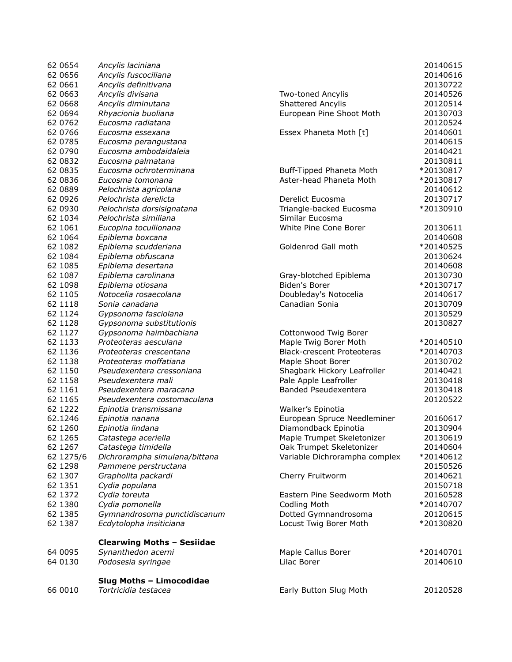| 66 0010   | Tortricidia testacea              | Early Button Slug Moth            | 20120528  |
|-----------|-----------------------------------|-----------------------------------|-----------|
|           | Slug Moths - Limocodidae          |                                   |           |
| 64 0130   | Podosesia syringae                | Lilac Borer                       | 20140610  |
| 64 0095   | Synanthedon acerni                | Maple Callus Borer                | *20140701 |
|           | <b>Clearwing Moths - Sesiidae</b> |                                   |           |
|           |                                   |                                   |           |
| 62 1387   | Ecdytolopha insiticiana           | Locust Twig Borer Moth            | *20130820 |
| 62 1385   | Gymnandrosoma punctidiscanum      | Dotted Gymnandrosoma              | 20120615  |
| 62 1380   | Cydia pomonella                   | <b>Codling Moth</b>               | *20140707 |
| 62 1372   | Cydia toreuta                     | Eastern Pine Seedworm Moth        | 20160528  |
| 62 1351   | Cydia populana                    |                                   | 20150718  |
| 62 1307   | Grapholita packardi               | Cherry Fruitworm                  | 20140621  |
| 62 1298   | Pammene perstructana              |                                   | 20150526  |
| 62 1275/6 | Dichrorampha simulana/bittana     | Variable Dichrorampha complex     | *20140612 |
| 62 1267   | Catastega timidella               | Oak Trumpet Skeletonizer          | 20140604  |
| 62 1265   | Catastega aceriella               | Maple Trumpet Skeletonizer        | 20130619  |
| 62 1260   | Epinotia lindana                  | Diamondback Epinotia              | 20130904  |
| 62.1246   | Epinotia nanana                   | European Spruce Needleminer       | 20160617  |
| 62 1222   | Epinotia transmissana             | Walker's Epinotia                 |           |
| 62 1165   | Pseudexentera costomaculana       |                                   | 20120522  |
| 62 1161   | Pseudexentera maracana            | Banded Pseudexentera              | 20130418  |
| 62 1158   | Pseudexentera mali                | Pale Apple Leafroller             | 20130418  |
| 62 1150   | Pseudexentera cressoniana         | Shagbark Hickory Leafroller       | 20140421  |
| 62 1138   | Proteoteras moffatiana            | Maple Shoot Borer                 | 20130702  |
| 62 1136   | Proteoteras crescentana           | <b>Black-crescent Proteoteras</b> | *20140703 |
| 62 1133   | Proteoteras aesculana             | Maple Twig Borer Moth             | *20140510 |
| 62 1127   | Gypsonoma haimbachiana            | Cottonwood Twig Borer             |           |
| 62 1128   | Gypsonoma substitutionis          |                                   | 20130827  |
| 62 1124   | Gypsonoma fasciolana              |                                   | 20130529  |
| 62 1118   | Sonia canadana                    | Canadian Sonia                    | 20130709  |
| 62 1105   | Notocelia rosaecolana             | Doubleday's Notocelia             | 20140617  |
|           |                                   |                                   |           |
| 62 1098   | Epiblema otiosana                 | Biden's Borer                     | *20130717 |
| 62 1087   | Epiblema carolinana               | Gray-blotched Epiblema            | 20130730  |
| 62 1085   | Epiblema desertana                |                                   | 20140608  |
| 62 1084   | Epiblema obfuscana                |                                   | 20130624  |
| 62 1082   | Epiblema scudderiana              | Goldenrod Gall moth               | *20140525 |
| 62 1064   | Epiblema boxcana                  |                                   | 20140608  |
| 62 1061   | Eucopina tocullionana             | White Pine Cone Borer             | 20130611  |
| 62 1034   | Pelochrista similiana             | Similar Eucosma                   |           |
| 62 0930   | Pelochrista dorsisignatana        | Triangle-backed Eucosma           | *20130910 |
| 62 0926   | Pelochrista derelicta             | Derelict Eucosma                  | 20130717  |
| 62 0889   | Pelochrista agricolana            |                                   | 20140612  |
| 62 0836   | Eucosma tomonana                  | Aster-head Phaneta Moth           | *20130817 |
| 62 0835   | Eucosma ochroterminana            | Buff-Tipped Phaneta Moth          | *20130817 |
| 62 0832   | Eucosma palmatana                 |                                   | 20130811  |
| 62 0790   | Eucosma ambodaidaleia             |                                   | 20140421  |
| 62 0785   | Eucosma perangustana              |                                   | 20140615  |
| 62 0766   | Eucosma essexana                  | Essex Phaneta Moth [t]            | 20140601  |
| 62 0762   | Eucosma radiatana                 |                                   | 20120524  |
| 62 0694   | Rhyacionia buoliana               | European Pine Shoot Moth          | 20130703  |
| 62 0668   | Ancylis diminutana                | Shattered Ancylis                 | 20120514  |
| 62 0663   | Ancylis divisana                  | <b>Two-toned Ancylis</b>          | 20140526  |
| 62 0661   | Ancylis definitivana              |                                   | 20130722  |
| 62 0656   | Ancylis fuscociliana              |                                   | 20140616  |
| 62 0654   | Ancylis laciniana                 |                                   | 20140615  |
|           |                                   |                                   |           |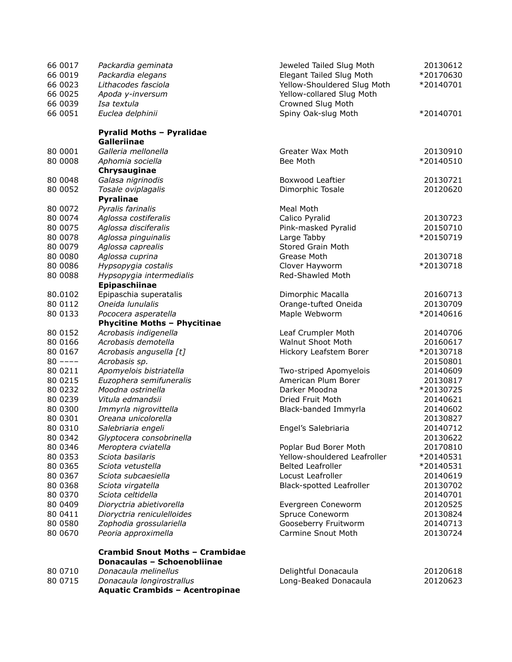| 66 0017   | Packardia geminata                     | Jeweled Tailed Slug Moth        | 20130612  |
|-----------|----------------------------------------|---------------------------------|-----------|
| 66 0019   | Packardia elegans                      | Elegant Tailed Slug Moth        | *20170630 |
| 66 0023   | Lithacodes fasciola                    | Yellow-Shouldered Slug Moth     | *20140701 |
| 66 0025   | Apoda y-inversum                       | Yellow-collared Slug Moth       |           |
| 66 0039   | Isa textula                            | Crowned Slug Moth               |           |
| 66 0051   | Euclea delphinii                       | Spiny Oak-slug Moth             | *20140701 |
|           | <b>Pyralid Moths - Pyralidae</b>       |                                 |           |
|           | Galleriinae                            |                                 |           |
| 80 0001   | Galleria mellonella                    | Greater Wax Moth                | 20130910  |
| 80 0008   | Aphomia sociella                       | Bee Moth                        | *20140510 |
|           | Chrysauginae                           |                                 |           |
| 80 0048   | Galasa nigrinodis                      | Boxwood Leaftier                | 20130721  |
| 80 0052   | Tosale oviplagalis                     | Dimorphic Tosale                | 20120620  |
|           | <b>Pyralinae</b>                       |                                 |           |
| 80 0072   | Pyralis farinalis                      | Meal Moth                       |           |
| 80 0074   | Aglossa costiferalis                   | Calico Pyralid                  | 20130723  |
| 80 0075   | Aglossa disciferalis                   | Pink-masked Pyralid             | 20150710  |
| 80 0078   | Aglossa pinguinalis                    | Large Tabby                     | *20150719 |
| 80 0079   | Aglossa caprealis                      | Stored Grain Moth               |           |
| 80 0080   | Aglossa cuprina                        | Grease Moth                     | 20130718  |
| 80 0086   | Hypsopygia costalis                    | Clover Hayworm                  | *20130718 |
| 80 0088   | Hypsopygia intermedialis               | Red-Shawled Moth                |           |
|           | Epipaschiinae                          |                                 |           |
| 80.0102   | Epipaschia superatalis                 | Dimorphic Macalla               | 20160713  |
| 80 0112   | Oneida lunulalis                       | Orange-tufted Oneida            | 20130709  |
| 80 0133   | Pococera asperatella                   | Maple Webworm                   | *20140616 |
|           | <b>Phycitine Moths - Phycitinae</b>    |                                 |           |
| 80 0152   | Acrobasis indigenella                  | Leaf Crumpler Moth              | 20140706  |
| 80 0166   | Acrobasis demotella                    | <b>Walnut Shoot Moth</b>        | 20160617  |
| 80 0167   | Acrobasis angusella [t]                | Hickory Leafstem Borer          | *20130718 |
| $80$ ---- | Acrobasis sp.                          |                                 | 20150801  |
| 80 0211   | Apomyelois bistriatella                | Two-striped Apomyelois          | 20140609  |
| 80 0215   | Euzophera semifuneralis                | American Plum Borer             | 20130817  |
| 80 0232   | Moodna ostrinella                      | Darker Moodna                   | *20130725 |
| 80 0239   | Vitula edmandsii                       | Dried Fruit Moth                | 20140621  |
| 80 0300   | Immyrla nigrovittella                  | Black-banded Immyrla            | 20140602  |
| 80 0301   | Oreana unicolorella                    |                                 | 20130827  |
| 80 0310   | Salebriaria engeli                     | Engel's Salebriaria             | 20140712  |
| 80 0342   | Glyptocera consobrinella               |                                 | 20130622  |
| 80 0346   | Meroptera cviatella                    | Poplar Bud Borer Moth           | 20170810  |
| 80 0353   | Sciota basilaris                       | Yellow-shouldered Leafroller    | *20140531 |
| 80 0365   | Sciota vetustella                      | <b>Belted Leafroller</b>        | *20140531 |
| 80 0367   | Sciota subcaesiella                    | Locust Leafroller               | 20140619  |
| 80 0368   | Sciota virgatella                      | <b>Black-spotted Leafroller</b> | 20130702  |
| 80 0370   | Sciota celtidella                      |                                 | 20140701  |
| 80 0409   | Dioryctria abietivorella               | Evergreen Coneworm              | 20120525  |
| 80 0411   | Dioryctria reniculelloides             | Spruce Coneworm                 | 20130824  |
| 80 0580   | Zophodia grossulariella                | Gooseberry Fruitworm            | 20140713  |
| 80 0670   | Peoria approximella                    | Carmine Snout Moth              | 20130724  |
|           | <b>Crambid Snout Moths - Crambidae</b> |                                 |           |
|           | Donacaulas - Schoenobliinae            |                                 |           |
| 80 0710   | Donacaula melinellus                   | Delightful Donacaula            | 20120618  |
| 80 0715   | Donacaula longirostrallus              | Long-Beaked Donacaula           | 20120623  |
|           | <b>Aquatic Crambids - Acentropinae</b> |                                 |           |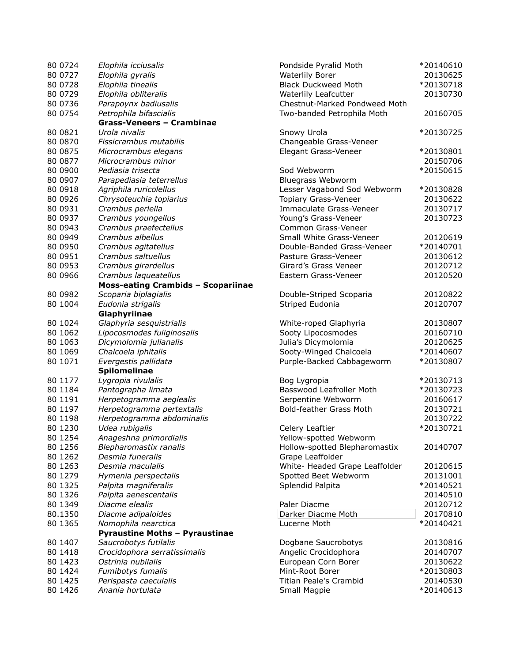| 80 0724  | Elophila icciusalis                       | Pondside Pyralid Moth          | *20140610 |
|----------|-------------------------------------------|--------------------------------|-----------|
| 80 0727  | Elophila gyralis                          | <b>Waterlily Borer</b>         | 20130625  |
| 80 0728  | Elophila tinealis                         | <b>Black Duckweed Moth</b>     | *20130718 |
| 80 0729  | Elophila obliteralis                      | Waterlily Leafcutter           | 20130730  |
| 80 0736  | Parapoynx badiusalis                      | Chestnut-Marked Pondweed Moth  |           |
| 80 0754  | Petrophila bifascialis                    | Two-banded Petrophila Moth     | 20160705  |
|          | Grass-Veneers - Crambinae                 |                                |           |
| 80 0821  | Urola nivalis                             | Snowy Urola                    | *20130725 |
| 80 0870  | Fissicrambus mutabilis                    | Changeable Grass-Veneer        |           |
| 80 0875  | Microcrambus elegans                      | Elegant Grass-Veneer           | *20130801 |
| 80 0877  | Microcrambus minor                        |                                | 20150706  |
| 80 0900  | Pediasia trisecta                         | Sod Webworm                    | *20150615 |
| 80 0907  | Parapediasia teterrellus                  | Bluegrass Webworm              |           |
| 80 0918  | Agriphila ruricolellus                    | Lesser Vagabond Sod Webworm    | *20130828 |
| 80 0926  | Chrysoteuchia topiarius                   | Topiary Grass-Veneer           | 20130622  |
| 80 0931  | Crambus perlella                          | Immaculate Grass-Veneer        | 20130717  |
| 80 0937  | Crambus youngellus                        | Young's Grass-Veneer           | 20130723  |
| 80 0943  | Crambus praefectellus                     | Common Grass-Veneer            |           |
| 80 0949  | Crambus albellus                          | Small White Grass-Veneer       | 20120619  |
| 80 0950  | Crambus agitatellus                       | Double-Banded Grass-Veneer     | *20140701 |
| 80 0951  | Crambus saltuellus                        | Pasture Grass-Veneer           | 20130612  |
| 80 0953  | Crambus girardellus                       | Girard's Grass Veneer          | 20120712  |
| 80 0966  | Crambus laqueatellus                      | Eastern Grass-Veneer           | 20120520  |
|          | <b>Moss-eating Crambids - Scopariinae</b> |                                |           |
| 80 0982  | Scoparia biplagialis                      | Double-Striped Scoparia        | 20120822  |
| 80 1004  | Eudonia strigalis                         | Striped Eudonia                | 20120707  |
|          | Glaphyriinae                              |                                |           |
| 80 10 24 | Glaphyria sesquistrialis                  | White-roped Glaphyria          | 20130807  |
| 80 10 62 | Lipocosmodes fuliginosalis                | Sooty Lipocosmodes             | 20160710  |
| 80 10 63 | Dicymolomia julianalis                    | Julia's Dicymolomia            | 20120625  |
| 80 1069  | Chalcoela iphitalis                       | Sooty-Winged Chalcoela         | *20140607 |
| 80 1071  | Evergestis pallidata                      | Purple-Backed Cabbageworm      | *20130807 |
|          | Spilomelinae                              |                                |           |
| 80 1177  | Lygropia rivulalis                        | Bog Lygropia                   | *20130713 |
| 80 1184  | Pantographa limata                        | Basswood Leafroller Moth       | *20130723 |
| 80 1191  | Herpetogramma aeglealis                   | Serpentine Webworm             | 20160617  |
| 80 1197  | Herpetogramma pertextalis                 | Bold-feather Grass Moth        | 20130721  |
| 80 1198  | Herpetogramma abdominalis                 |                                | 20130722  |
| 80 1230  | Udea rubigalis                            | Celery Leaftier                | *20130721 |
| 80 1254  | Anageshna primordialis                    | Yellow-spotted Webworm         |           |
| 80 1256  | Blepharomastix ranalis                    | Hollow-spotted Blepharomastix  | 20140707  |
| 80 1262  | Desmia funeralis                          | Grape Leaffolder               |           |
| 80 1263  | Desmia maculalis                          | White- Headed Grape Leaffolder | 20120615  |
| 80 1279  | Hymenia perspectalis                      | Spotted Beet Webworm           | 20131001  |
| 80 1325  | Palpita magniferalis                      | Splendid Palpita               | *20140521 |
| 80 1326  | Palpita aenescentalis                     |                                | 20140510  |
| 80 1349  | Diacme elealis                            | Paler Diacme                   | 20120712  |
| 80.1350  | Diacme adipaloides                        | Darker Diacme Moth             | 20170810  |
| 80 1365  | Nomophila nearctica                       | Lucerne Moth                   | *20140421 |
|          | <b>Pyraustine Moths - Pyraustinae</b>     |                                |           |
| 80 1407  | Saucrobotys futilalis                     | Dogbane Saucrobotys            | 20130816  |
| 80 14 18 | Crocidophora serratissimalis              | Angelic Crocidophora           | 20140707  |
| 80 1423  | Ostrinia nubilalis                        | European Corn Borer            | 20130622  |
| 80 1424  | Fumibotys fumalis                         | Mint-Root Borer                | *20130803 |
| 80 1425  | Perispasta caeculalis                     | <b>Titian Peale's Crambid</b>  | 20140530  |
| 80 14 26 | Anania hortulata                          | Small Magpie                   | *20140613 |
|          |                                           |                                |           |

| Pondside Pyralid Moth                               | *20140610             |
|-----------------------------------------------------|-----------------------|
| <b>Waterlily Borer</b>                              | 20130625              |
| <b>Black Duckweed Moth</b>                          | *20130718             |
| Waterlily Leafcutter                                | 20130730              |
| Chestnut-Marked Pondweed Moth                       |                       |
| Two-banded Petrophila Moth                          | 20160705              |
| Snowy Urola                                         | *20130725             |
| Changeable Grass-Veneer                             |                       |
| Elegant Grass-Veneer                                | *20130801             |
|                                                     | 20150706              |
| Sod Webworm                                         | *20150615             |
| Bluegrass Webworm                                   |                       |
| Lesser Vagabond Sod Webworm<br>Topiary Grass-Veneer | *20130828<br>20130622 |
| Immaculate Grass-Veneer                             | 20130717              |
| Young's Grass-Veneer                                | 20130723              |
| Common Grass-Veneer                                 |                       |
| Small White Grass-Veneer                            | 20120619              |
| Double-Banded Grass-Veneer                          | *20140701             |
| Pasture Grass-Veneer                                | 20130612              |
| Girard's Grass Veneer                               | 20120712              |
| Eastern Grass-Veneer                                | 20120520              |
|                                                     |                       |
| Double-Striped Scoparia                             | 20120822              |
| Striped Eudonia                                     | 20120707              |
| White-roped Glaphyria                               | 20130807              |
| Sooty Lipocosmodes                                  | 20160710              |
| Julia's Dicymolomia                                 | 20120625              |
| Sooty-Winged Chalcoela                              | *20140607             |
| Purple-Backed Cabbageworm                           | *20130807             |
| Bog Lygropia                                        | *20130713             |
| Basswood Leafroller Moth                            | *20130723             |
| Serpentine Webworm                                  | 20160617              |
| <b>Bold-feather Grass Moth</b>                      | 20130721              |
|                                                     | 20130722              |
| Celery Leaftier                                     | *20130721             |
| Yellow-spotted Webworm                              |                       |
| Hollow-spotted Blepharomastix<br>Grape Leaffolder   | 20140707              |
| White- Headed Grape Leaffolder                      | 20120615              |
| Spotted Beet Webworm                                | 20131001              |
| Splendid Palpita                                    | *20140521             |
|                                                     | 20140510              |
| Paler Diacme                                        | 20120712              |
| Darker Diacme Moth                                  | 20170810              |
| Lucerne Moth                                        | *20140421             |
|                                                     | 20130816              |
| Dogbane Saucrobotys<br>Angelic Crocidophora         | 20140707              |
| European Corn Borer                                 | 20130622              |
| Mint-Root Borer                                     | *20130803             |
| <b>Titian Peale's Crambid</b>                       | 20140530              |
| Small Magpie                                        | *20140613             |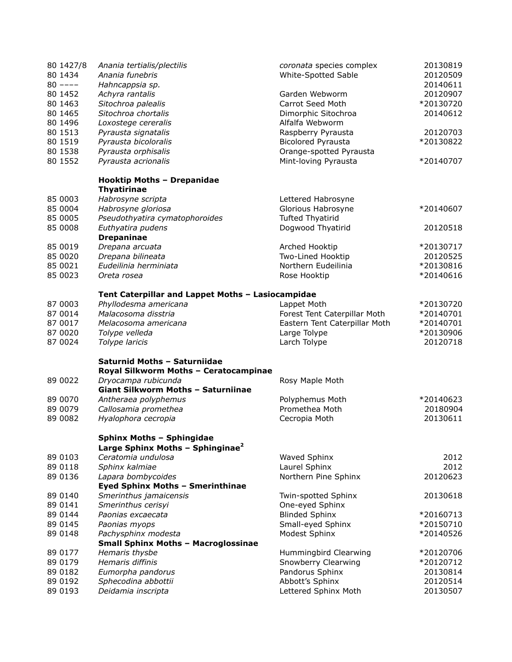| 20120907<br>80 1452<br>Achyra rantalis<br>Garden Webworm<br>80 1463<br>Carrot Seed Moth<br>*20130720<br>Sitochroa palealis<br>80 1465<br>Sitochroa chortalis<br>20140612<br>Dimorphic Sitochroa<br>80 1496<br>Alfalfa Webworm<br>Loxostege cereralis<br>80 1513<br>20120703<br>Pyrausta signatalis<br>Raspberry Pyrausta<br>80 1519<br>Pyrausta bicoloralis<br><b>Bicolored Pyrausta</b><br>*20130822<br>80 1538<br>Pyrausta orphisalis<br>Orange-spotted Pyrausta<br>80 1552<br>Pyrausta acrionalis<br>Mint-loving Pyrausta<br>*20140707<br><b>Hooktip Moths - Drepanidae</b><br><b>Thyatirinae</b><br>85 0003<br>Habrosyne scripta<br>Lettered Habrosyne<br>85 0004<br>Habrosyne gloriosa<br>Glorious Habrosyne<br>*20140607<br>85 0005<br>Pseudothyatira cymatophoroides<br><b>Tufted Thyatirid</b><br>85 0008<br>Euthyatira pudens<br>Dogwood Thyatirid<br>20120518<br><b>Drepaninae</b><br>85 0019<br>*20130717<br>Drepana arcuata<br>Arched Hooktip<br>85 0020<br>Drepana bilineata<br>Two-Lined Hooktip<br>20120525<br>85 0021<br>Eudeilinia herminiata<br>Northern Eudeilinia<br>*20130816<br>85 0023<br>*20140616<br>Oreta rosea<br>Rose Hooktip<br>Tent Caterpillar and Lappet Moths - Lasiocampidae<br>87 0003<br>Phyllodesma americana<br>Lappet Moth<br>*20130720<br>87 0014<br>Malacosoma disstria<br>*20140701<br>Forest Tent Caterpillar Moth<br>87 0017<br>Eastern Tent Caterpillar Moth<br>*20140701<br>Melacosoma americana<br>87 0020<br>Large Tolype<br>*20130906<br>Tolype velleda<br>87 0024<br>Larch Tolype<br>20120718<br>Tolype laricis<br>Saturnid Moths - Saturniidae<br>Royal Silkworm Moths - Ceratocampinae<br>89 0022<br>Dryocampa rubicunda<br>Rosy Maple Moth<br>Giant Silkworm Moths - Saturniinae<br>89 0070<br>Antheraea polyphemus<br>Polyphemus Moth<br>*20140623<br>89 0079<br>Callosamia promethea<br>Promethea Moth<br>20180904<br>89 0082<br>Hyalophora cecropia<br>Cecropia Moth<br>20130611<br><b>Sphinx Moths - Sphingidae</b><br>Large Sphinx Moths - Sphinginae <sup>2</sup><br>89 0103<br>Ceratomia undulosa<br>2012<br>Waved Sphinx<br>Sphinx kalmiae<br>Laurel Sphinx<br>2012<br>89 0118<br>Northern Pine Sphinx<br>20120623<br>89 0136<br>Lapara bombycoides<br><b>Eyed Sphinx Moths - Smerinthinae</b><br>20130618<br>89 0140<br>Smerinthus jamaicensis<br>Twin-spotted Sphinx<br>Smerinthus cerisyi<br>89 0141<br>One-eyed Sphinx<br><b>Blinded Sphinx</b><br>89 0144<br>Paonias excaecata<br>*20160713<br>Small-eyed Sphinx<br>89 0145<br>Paonias myops<br>*20150710<br>Modest Sphinx<br>89 0148<br>Pachysphinx modesta<br>*20140526<br><b>Small Sphinx Moths - Macroglossinae</b><br>Hemaris thysbe<br>89 0177<br>Hummingbird Clearwing<br>*20120706<br>Hemaris diffinis<br>Snowberry Clearwing<br>89 0179<br>*20120712<br>Pandorus Sphinx<br>20130814<br>89 0182<br>Eumorpha pandorus<br>Sphecodina abbottii<br>Abbott's Sphinx<br>89 0192<br>20120514<br>89 0193<br>Deidamia inscripta<br>Lettered Sphinx Moth<br>20130507 | 80 1427/8<br>80 1434<br>$80$ ---- | Anania tertialis/plectilis<br>Anania funebris<br>Hahncappsia sp. | coronata species complex<br>White-Spotted Sable | 20130819<br>20120509<br>20140611 |
|--------------------------------------------------------------------------------------------------------------------------------------------------------------------------------------------------------------------------------------------------------------------------------------------------------------------------------------------------------------------------------------------------------------------------------------------------------------------------------------------------------------------------------------------------------------------------------------------------------------------------------------------------------------------------------------------------------------------------------------------------------------------------------------------------------------------------------------------------------------------------------------------------------------------------------------------------------------------------------------------------------------------------------------------------------------------------------------------------------------------------------------------------------------------------------------------------------------------------------------------------------------------------------------------------------------------------------------------------------------------------------------------------------------------------------------------------------------------------------------------------------------------------------------------------------------------------------------------------------------------------------------------------------------------------------------------------------------------------------------------------------------------------------------------------------------------------------------------------------------------------------------------------------------------------------------------------------------------------------------------------------------------------------------------------------------------------------------------------------------------------------------------------------------------------------------------------------------------------------------------------------------------------------------------------------------------------------------------------------------------------------------------------------------------------------------------------------------------------------------------------------------------------------------------------------------------------------------------------------------------------------------------------------------------------------------------------------------------------------------------------------------------------------------------------------------------------------------------------------------------------------------------------------------------------------------------------------------------------------------|-----------------------------------|------------------------------------------------------------------|-------------------------------------------------|----------------------------------|
|                                                                                                                                                                                                                                                                                                                                                                                                                                                                                                                                                                                                                                                                                                                                                                                                                                                                                                                                                                                                                                                                                                                                                                                                                                                                                                                                                                                                                                                                                                                                                                                                                                                                                                                                                                                                                                                                                                                                                                                                                                                                                                                                                                                                                                                                                                                                                                                                                                                                                                                                                                                                                                                                                                                                                                                                                                                                                                                                                                                      |                                   |                                                                  |                                                 |                                  |
|                                                                                                                                                                                                                                                                                                                                                                                                                                                                                                                                                                                                                                                                                                                                                                                                                                                                                                                                                                                                                                                                                                                                                                                                                                                                                                                                                                                                                                                                                                                                                                                                                                                                                                                                                                                                                                                                                                                                                                                                                                                                                                                                                                                                                                                                                                                                                                                                                                                                                                                                                                                                                                                                                                                                                                                                                                                                                                                                                                                      |                                   |                                                                  |                                                 |                                  |
|                                                                                                                                                                                                                                                                                                                                                                                                                                                                                                                                                                                                                                                                                                                                                                                                                                                                                                                                                                                                                                                                                                                                                                                                                                                                                                                                                                                                                                                                                                                                                                                                                                                                                                                                                                                                                                                                                                                                                                                                                                                                                                                                                                                                                                                                                                                                                                                                                                                                                                                                                                                                                                                                                                                                                                                                                                                                                                                                                                                      |                                   |                                                                  |                                                 |                                  |
|                                                                                                                                                                                                                                                                                                                                                                                                                                                                                                                                                                                                                                                                                                                                                                                                                                                                                                                                                                                                                                                                                                                                                                                                                                                                                                                                                                                                                                                                                                                                                                                                                                                                                                                                                                                                                                                                                                                                                                                                                                                                                                                                                                                                                                                                                                                                                                                                                                                                                                                                                                                                                                                                                                                                                                                                                                                                                                                                                                                      |                                   |                                                                  |                                                 |                                  |
|                                                                                                                                                                                                                                                                                                                                                                                                                                                                                                                                                                                                                                                                                                                                                                                                                                                                                                                                                                                                                                                                                                                                                                                                                                                                                                                                                                                                                                                                                                                                                                                                                                                                                                                                                                                                                                                                                                                                                                                                                                                                                                                                                                                                                                                                                                                                                                                                                                                                                                                                                                                                                                                                                                                                                                                                                                                                                                                                                                                      |                                   |                                                                  |                                                 |                                  |
|                                                                                                                                                                                                                                                                                                                                                                                                                                                                                                                                                                                                                                                                                                                                                                                                                                                                                                                                                                                                                                                                                                                                                                                                                                                                                                                                                                                                                                                                                                                                                                                                                                                                                                                                                                                                                                                                                                                                                                                                                                                                                                                                                                                                                                                                                                                                                                                                                                                                                                                                                                                                                                                                                                                                                                                                                                                                                                                                                                                      |                                   |                                                                  |                                                 |                                  |
|                                                                                                                                                                                                                                                                                                                                                                                                                                                                                                                                                                                                                                                                                                                                                                                                                                                                                                                                                                                                                                                                                                                                                                                                                                                                                                                                                                                                                                                                                                                                                                                                                                                                                                                                                                                                                                                                                                                                                                                                                                                                                                                                                                                                                                                                                                                                                                                                                                                                                                                                                                                                                                                                                                                                                                                                                                                                                                                                                                                      |                                   |                                                                  |                                                 |                                  |
|                                                                                                                                                                                                                                                                                                                                                                                                                                                                                                                                                                                                                                                                                                                                                                                                                                                                                                                                                                                                                                                                                                                                                                                                                                                                                                                                                                                                                                                                                                                                                                                                                                                                                                                                                                                                                                                                                                                                                                                                                                                                                                                                                                                                                                                                                                                                                                                                                                                                                                                                                                                                                                                                                                                                                                                                                                                                                                                                                                                      |                                   |                                                                  |                                                 |                                  |
|                                                                                                                                                                                                                                                                                                                                                                                                                                                                                                                                                                                                                                                                                                                                                                                                                                                                                                                                                                                                                                                                                                                                                                                                                                                                                                                                                                                                                                                                                                                                                                                                                                                                                                                                                                                                                                                                                                                                                                                                                                                                                                                                                                                                                                                                                                                                                                                                                                                                                                                                                                                                                                                                                                                                                                                                                                                                                                                                                                                      |                                   |                                                                  |                                                 |                                  |
|                                                                                                                                                                                                                                                                                                                                                                                                                                                                                                                                                                                                                                                                                                                                                                                                                                                                                                                                                                                                                                                                                                                                                                                                                                                                                                                                                                                                                                                                                                                                                                                                                                                                                                                                                                                                                                                                                                                                                                                                                                                                                                                                                                                                                                                                                                                                                                                                                                                                                                                                                                                                                                                                                                                                                                                                                                                                                                                                                                                      |                                   |                                                                  |                                                 |                                  |
|                                                                                                                                                                                                                                                                                                                                                                                                                                                                                                                                                                                                                                                                                                                                                                                                                                                                                                                                                                                                                                                                                                                                                                                                                                                                                                                                                                                                                                                                                                                                                                                                                                                                                                                                                                                                                                                                                                                                                                                                                                                                                                                                                                                                                                                                                                                                                                                                                                                                                                                                                                                                                                                                                                                                                                                                                                                                                                                                                                                      |                                   |                                                                  |                                                 |                                  |
|                                                                                                                                                                                                                                                                                                                                                                                                                                                                                                                                                                                                                                                                                                                                                                                                                                                                                                                                                                                                                                                                                                                                                                                                                                                                                                                                                                                                                                                                                                                                                                                                                                                                                                                                                                                                                                                                                                                                                                                                                                                                                                                                                                                                                                                                                                                                                                                                                                                                                                                                                                                                                                                                                                                                                                                                                                                                                                                                                                                      |                                   |                                                                  |                                                 |                                  |
|                                                                                                                                                                                                                                                                                                                                                                                                                                                                                                                                                                                                                                                                                                                                                                                                                                                                                                                                                                                                                                                                                                                                                                                                                                                                                                                                                                                                                                                                                                                                                                                                                                                                                                                                                                                                                                                                                                                                                                                                                                                                                                                                                                                                                                                                                                                                                                                                                                                                                                                                                                                                                                                                                                                                                                                                                                                                                                                                                                                      |                                   |                                                                  |                                                 |                                  |
|                                                                                                                                                                                                                                                                                                                                                                                                                                                                                                                                                                                                                                                                                                                                                                                                                                                                                                                                                                                                                                                                                                                                                                                                                                                                                                                                                                                                                                                                                                                                                                                                                                                                                                                                                                                                                                                                                                                                                                                                                                                                                                                                                                                                                                                                                                                                                                                                                                                                                                                                                                                                                                                                                                                                                                                                                                                                                                                                                                                      |                                   |                                                                  |                                                 |                                  |
|                                                                                                                                                                                                                                                                                                                                                                                                                                                                                                                                                                                                                                                                                                                                                                                                                                                                                                                                                                                                                                                                                                                                                                                                                                                                                                                                                                                                                                                                                                                                                                                                                                                                                                                                                                                                                                                                                                                                                                                                                                                                                                                                                                                                                                                                                                                                                                                                                                                                                                                                                                                                                                                                                                                                                                                                                                                                                                                                                                                      |                                   |                                                                  |                                                 |                                  |
|                                                                                                                                                                                                                                                                                                                                                                                                                                                                                                                                                                                                                                                                                                                                                                                                                                                                                                                                                                                                                                                                                                                                                                                                                                                                                                                                                                                                                                                                                                                                                                                                                                                                                                                                                                                                                                                                                                                                                                                                                                                                                                                                                                                                                                                                                                                                                                                                                                                                                                                                                                                                                                                                                                                                                                                                                                                                                                                                                                                      |                                   |                                                                  |                                                 |                                  |
|                                                                                                                                                                                                                                                                                                                                                                                                                                                                                                                                                                                                                                                                                                                                                                                                                                                                                                                                                                                                                                                                                                                                                                                                                                                                                                                                                                                                                                                                                                                                                                                                                                                                                                                                                                                                                                                                                                                                                                                                                                                                                                                                                                                                                                                                                                                                                                                                                                                                                                                                                                                                                                                                                                                                                                                                                                                                                                                                                                                      |                                   |                                                                  |                                                 |                                  |
|                                                                                                                                                                                                                                                                                                                                                                                                                                                                                                                                                                                                                                                                                                                                                                                                                                                                                                                                                                                                                                                                                                                                                                                                                                                                                                                                                                                                                                                                                                                                                                                                                                                                                                                                                                                                                                                                                                                                                                                                                                                                                                                                                                                                                                                                                                                                                                                                                                                                                                                                                                                                                                                                                                                                                                                                                                                                                                                                                                                      |                                   |                                                                  |                                                 |                                  |
|                                                                                                                                                                                                                                                                                                                                                                                                                                                                                                                                                                                                                                                                                                                                                                                                                                                                                                                                                                                                                                                                                                                                                                                                                                                                                                                                                                                                                                                                                                                                                                                                                                                                                                                                                                                                                                                                                                                                                                                                                                                                                                                                                                                                                                                                                                                                                                                                                                                                                                                                                                                                                                                                                                                                                                                                                                                                                                                                                                                      |                                   |                                                                  |                                                 |                                  |
|                                                                                                                                                                                                                                                                                                                                                                                                                                                                                                                                                                                                                                                                                                                                                                                                                                                                                                                                                                                                                                                                                                                                                                                                                                                                                                                                                                                                                                                                                                                                                                                                                                                                                                                                                                                                                                                                                                                                                                                                                                                                                                                                                                                                                                                                                                                                                                                                                                                                                                                                                                                                                                                                                                                                                                                                                                                                                                                                                                                      |                                   |                                                                  |                                                 |                                  |
|                                                                                                                                                                                                                                                                                                                                                                                                                                                                                                                                                                                                                                                                                                                                                                                                                                                                                                                                                                                                                                                                                                                                                                                                                                                                                                                                                                                                                                                                                                                                                                                                                                                                                                                                                                                                                                                                                                                                                                                                                                                                                                                                                                                                                                                                                                                                                                                                                                                                                                                                                                                                                                                                                                                                                                                                                                                                                                                                                                                      |                                   |                                                                  |                                                 |                                  |
|                                                                                                                                                                                                                                                                                                                                                                                                                                                                                                                                                                                                                                                                                                                                                                                                                                                                                                                                                                                                                                                                                                                                                                                                                                                                                                                                                                                                                                                                                                                                                                                                                                                                                                                                                                                                                                                                                                                                                                                                                                                                                                                                                                                                                                                                                                                                                                                                                                                                                                                                                                                                                                                                                                                                                                                                                                                                                                                                                                                      |                                   |                                                                  |                                                 |                                  |
|                                                                                                                                                                                                                                                                                                                                                                                                                                                                                                                                                                                                                                                                                                                                                                                                                                                                                                                                                                                                                                                                                                                                                                                                                                                                                                                                                                                                                                                                                                                                                                                                                                                                                                                                                                                                                                                                                                                                                                                                                                                                                                                                                                                                                                                                                                                                                                                                                                                                                                                                                                                                                                                                                                                                                                                                                                                                                                                                                                                      |                                   |                                                                  |                                                 |                                  |
|                                                                                                                                                                                                                                                                                                                                                                                                                                                                                                                                                                                                                                                                                                                                                                                                                                                                                                                                                                                                                                                                                                                                                                                                                                                                                                                                                                                                                                                                                                                                                                                                                                                                                                                                                                                                                                                                                                                                                                                                                                                                                                                                                                                                                                                                                                                                                                                                                                                                                                                                                                                                                                                                                                                                                                                                                                                                                                                                                                                      |                                   |                                                                  |                                                 |                                  |
|                                                                                                                                                                                                                                                                                                                                                                                                                                                                                                                                                                                                                                                                                                                                                                                                                                                                                                                                                                                                                                                                                                                                                                                                                                                                                                                                                                                                                                                                                                                                                                                                                                                                                                                                                                                                                                                                                                                                                                                                                                                                                                                                                                                                                                                                                                                                                                                                                                                                                                                                                                                                                                                                                                                                                                                                                                                                                                                                                                                      |                                   |                                                                  |                                                 |                                  |
|                                                                                                                                                                                                                                                                                                                                                                                                                                                                                                                                                                                                                                                                                                                                                                                                                                                                                                                                                                                                                                                                                                                                                                                                                                                                                                                                                                                                                                                                                                                                                                                                                                                                                                                                                                                                                                                                                                                                                                                                                                                                                                                                                                                                                                                                                                                                                                                                                                                                                                                                                                                                                                                                                                                                                                                                                                                                                                                                                                                      |                                   |                                                                  |                                                 |                                  |
|                                                                                                                                                                                                                                                                                                                                                                                                                                                                                                                                                                                                                                                                                                                                                                                                                                                                                                                                                                                                                                                                                                                                                                                                                                                                                                                                                                                                                                                                                                                                                                                                                                                                                                                                                                                                                                                                                                                                                                                                                                                                                                                                                                                                                                                                                                                                                                                                                                                                                                                                                                                                                                                                                                                                                                                                                                                                                                                                                                                      |                                   |                                                                  |                                                 |                                  |
|                                                                                                                                                                                                                                                                                                                                                                                                                                                                                                                                                                                                                                                                                                                                                                                                                                                                                                                                                                                                                                                                                                                                                                                                                                                                                                                                                                                                                                                                                                                                                                                                                                                                                                                                                                                                                                                                                                                                                                                                                                                                                                                                                                                                                                                                                                                                                                                                                                                                                                                                                                                                                                                                                                                                                                                                                                                                                                                                                                                      |                                   |                                                                  |                                                 |                                  |
|                                                                                                                                                                                                                                                                                                                                                                                                                                                                                                                                                                                                                                                                                                                                                                                                                                                                                                                                                                                                                                                                                                                                                                                                                                                                                                                                                                                                                                                                                                                                                                                                                                                                                                                                                                                                                                                                                                                                                                                                                                                                                                                                                                                                                                                                                                                                                                                                                                                                                                                                                                                                                                                                                                                                                                                                                                                                                                                                                                                      |                                   |                                                                  |                                                 |                                  |
|                                                                                                                                                                                                                                                                                                                                                                                                                                                                                                                                                                                                                                                                                                                                                                                                                                                                                                                                                                                                                                                                                                                                                                                                                                                                                                                                                                                                                                                                                                                                                                                                                                                                                                                                                                                                                                                                                                                                                                                                                                                                                                                                                                                                                                                                                                                                                                                                                                                                                                                                                                                                                                                                                                                                                                                                                                                                                                                                                                                      |                                   |                                                                  |                                                 |                                  |
|                                                                                                                                                                                                                                                                                                                                                                                                                                                                                                                                                                                                                                                                                                                                                                                                                                                                                                                                                                                                                                                                                                                                                                                                                                                                                                                                                                                                                                                                                                                                                                                                                                                                                                                                                                                                                                                                                                                                                                                                                                                                                                                                                                                                                                                                                                                                                                                                                                                                                                                                                                                                                                                                                                                                                                                                                                                                                                                                                                                      |                                   |                                                                  |                                                 |                                  |
|                                                                                                                                                                                                                                                                                                                                                                                                                                                                                                                                                                                                                                                                                                                                                                                                                                                                                                                                                                                                                                                                                                                                                                                                                                                                                                                                                                                                                                                                                                                                                                                                                                                                                                                                                                                                                                                                                                                                                                                                                                                                                                                                                                                                                                                                                                                                                                                                                                                                                                                                                                                                                                                                                                                                                                                                                                                                                                                                                                                      |                                   |                                                                  |                                                 |                                  |
|                                                                                                                                                                                                                                                                                                                                                                                                                                                                                                                                                                                                                                                                                                                                                                                                                                                                                                                                                                                                                                                                                                                                                                                                                                                                                                                                                                                                                                                                                                                                                                                                                                                                                                                                                                                                                                                                                                                                                                                                                                                                                                                                                                                                                                                                                                                                                                                                                                                                                                                                                                                                                                                                                                                                                                                                                                                                                                                                                                                      |                                   |                                                                  |                                                 |                                  |
|                                                                                                                                                                                                                                                                                                                                                                                                                                                                                                                                                                                                                                                                                                                                                                                                                                                                                                                                                                                                                                                                                                                                                                                                                                                                                                                                                                                                                                                                                                                                                                                                                                                                                                                                                                                                                                                                                                                                                                                                                                                                                                                                                                                                                                                                                                                                                                                                                                                                                                                                                                                                                                                                                                                                                                                                                                                                                                                                                                                      |                                   |                                                                  |                                                 |                                  |
|                                                                                                                                                                                                                                                                                                                                                                                                                                                                                                                                                                                                                                                                                                                                                                                                                                                                                                                                                                                                                                                                                                                                                                                                                                                                                                                                                                                                                                                                                                                                                                                                                                                                                                                                                                                                                                                                                                                                                                                                                                                                                                                                                                                                                                                                                                                                                                                                                                                                                                                                                                                                                                                                                                                                                                                                                                                                                                                                                                                      |                                   |                                                                  |                                                 |                                  |
|                                                                                                                                                                                                                                                                                                                                                                                                                                                                                                                                                                                                                                                                                                                                                                                                                                                                                                                                                                                                                                                                                                                                                                                                                                                                                                                                                                                                                                                                                                                                                                                                                                                                                                                                                                                                                                                                                                                                                                                                                                                                                                                                                                                                                                                                                                                                                                                                                                                                                                                                                                                                                                                                                                                                                                                                                                                                                                                                                                                      |                                   |                                                                  |                                                 |                                  |
|                                                                                                                                                                                                                                                                                                                                                                                                                                                                                                                                                                                                                                                                                                                                                                                                                                                                                                                                                                                                                                                                                                                                                                                                                                                                                                                                                                                                                                                                                                                                                                                                                                                                                                                                                                                                                                                                                                                                                                                                                                                                                                                                                                                                                                                                                                                                                                                                                                                                                                                                                                                                                                                                                                                                                                                                                                                                                                                                                                                      |                                   |                                                                  |                                                 |                                  |
|                                                                                                                                                                                                                                                                                                                                                                                                                                                                                                                                                                                                                                                                                                                                                                                                                                                                                                                                                                                                                                                                                                                                                                                                                                                                                                                                                                                                                                                                                                                                                                                                                                                                                                                                                                                                                                                                                                                                                                                                                                                                                                                                                                                                                                                                                                                                                                                                                                                                                                                                                                                                                                                                                                                                                                                                                                                                                                                                                                                      |                                   |                                                                  |                                                 |                                  |
|                                                                                                                                                                                                                                                                                                                                                                                                                                                                                                                                                                                                                                                                                                                                                                                                                                                                                                                                                                                                                                                                                                                                                                                                                                                                                                                                                                                                                                                                                                                                                                                                                                                                                                                                                                                                                                                                                                                                                                                                                                                                                                                                                                                                                                                                                                                                                                                                                                                                                                                                                                                                                                                                                                                                                                                                                                                                                                                                                                                      |                                   |                                                                  |                                                 |                                  |
|                                                                                                                                                                                                                                                                                                                                                                                                                                                                                                                                                                                                                                                                                                                                                                                                                                                                                                                                                                                                                                                                                                                                                                                                                                                                                                                                                                                                                                                                                                                                                                                                                                                                                                                                                                                                                                                                                                                                                                                                                                                                                                                                                                                                                                                                                                                                                                                                                                                                                                                                                                                                                                                                                                                                                                                                                                                                                                                                                                                      |                                   |                                                                  |                                                 |                                  |
|                                                                                                                                                                                                                                                                                                                                                                                                                                                                                                                                                                                                                                                                                                                                                                                                                                                                                                                                                                                                                                                                                                                                                                                                                                                                                                                                                                                                                                                                                                                                                                                                                                                                                                                                                                                                                                                                                                                                                                                                                                                                                                                                                                                                                                                                                                                                                                                                                                                                                                                                                                                                                                                                                                                                                                                                                                                                                                                                                                                      |                                   |                                                                  |                                                 |                                  |
|                                                                                                                                                                                                                                                                                                                                                                                                                                                                                                                                                                                                                                                                                                                                                                                                                                                                                                                                                                                                                                                                                                                                                                                                                                                                                                                                                                                                                                                                                                                                                                                                                                                                                                                                                                                                                                                                                                                                                                                                                                                                                                                                                                                                                                                                                                                                                                                                                                                                                                                                                                                                                                                                                                                                                                                                                                                                                                                                                                                      |                                   |                                                                  |                                                 |                                  |
|                                                                                                                                                                                                                                                                                                                                                                                                                                                                                                                                                                                                                                                                                                                                                                                                                                                                                                                                                                                                                                                                                                                                                                                                                                                                                                                                                                                                                                                                                                                                                                                                                                                                                                                                                                                                                                                                                                                                                                                                                                                                                                                                                                                                                                                                                                                                                                                                                                                                                                                                                                                                                                                                                                                                                                                                                                                                                                                                                                                      |                                   |                                                                  |                                                 |                                  |
|                                                                                                                                                                                                                                                                                                                                                                                                                                                                                                                                                                                                                                                                                                                                                                                                                                                                                                                                                                                                                                                                                                                                                                                                                                                                                                                                                                                                                                                                                                                                                                                                                                                                                                                                                                                                                                                                                                                                                                                                                                                                                                                                                                                                                                                                                                                                                                                                                                                                                                                                                                                                                                                                                                                                                                                                                                                                                                                                                                                      |                                   |                                                                  |                                                 |                                  |
|                                                                                                                                                                                                                                                                                                                                                                                                                                                                                                                                                                                                                                                                                                                                                                                                                                                                                                                                                                                                                                                                                                                                                                                                                                                                                                                                                                                                                                                                                                                                                                                                                                                                                                                                                                                                                                                                                                                                                                                                                                                                                                                                                                                                                                                                                                                                                                                                                                                                                                                                                                                                                                                                                                                                                                                                                                                                                                                                                                                      |                                   |                                                                  |                                                 |                                  |
|                                                                                                                                                                                                                                                                                                                                                                                                                                                                                                                                                                                                                                                                                                                                                                                                                                                                                                                                                                                                                                                                                                                                                                                                                                                                                                                                                                                                                                                                                                                                                                                                                                                                                                                                                                                                                                                                                                                                                                                                                                                                                                                                                                                                                                                                                                                                                                                                                                                                                                                                                                                                                                                                                                                                                                                                                                                                                                                                                                                      |                                   |                                                                  |                                                 |                                  |
|                                                                                                                                                                                                                                                                                                                                                                                                                                                                                                                                                                                                                                                                                                                                                                                                                                                                                                                                                                                                                                                                                                                                                                                                                                                                                                                                                                                                                                                                                                                                                                                                                                                                                                                                                                                                                                                                                                                                                                                                                                                                                                                                                                                                                                                                                                                                                                                                                                                                                                                                                                                                                                                                                                                                                                                                                                                                                                                                                                                      |                                   |                                                                  |                                                 |                                  |
|                                                                                                                                                                                                                                                                                                                                                                                                                                                                                                                                                                                                                                                                                                                                                                                                                                                                                                                                                                                                                                                                                                                                                                                                                                                                                                                                                                                                                                                                                                                                                                                                                                                                                                                                                                                                                                                                                                                                                                                                                                                                                                                                                                                                                                                                                                                                                                                                                                                                                                                                                                                                                                                                                                                                                                                                                                                                                                                                                                                      |                                   |                                                                  |                                                 |                                  |
|                                                                                                                                                                                                                                                                                                                                                                                                                                                                                                                                                                                                                                                                                                                                                                                                                                                                                                                                                                                                                                                                                                                                                                                                                                                                                                                                                                                                                                                                                                                                                                                                                                                                                                                                                                                                                                                                                                                                                                                                                                                                                                                                                                                                                                                                                                                                                                                                                                                                                                                                                                                                                                                                                                                                                                                                                                                                                                                                                                                      |                                   |                                                                  |                                                 |                                  |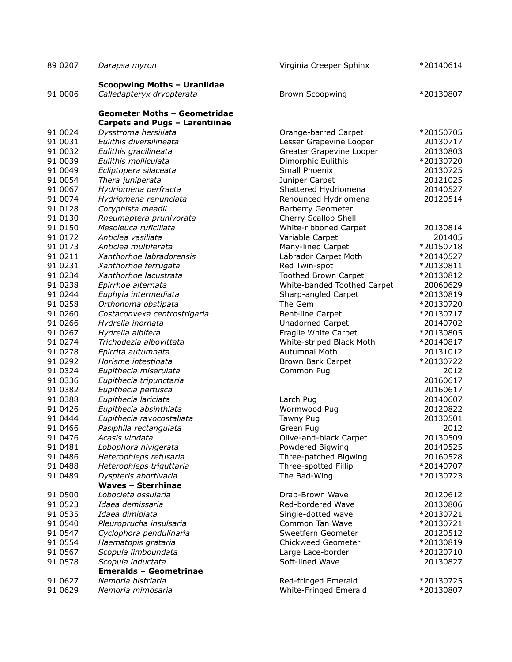| 89 0207            | Darapsa myron                                      | Virginia Creeper Sphinx                  | *20140614              |
|--------------------|----------------------------------------------------|------------------------------------------|------------------------|
|                    | <b>Scoopwing Moths - Uraniidae</b>                 |                                          |                        |
| 91 0006            | Calledapteryx dryopterata                          | <b>Brown Scoopwing</b>                   | *20130807              |
|                    | <b>Geometer Moths - Geometridae</b>                |                                          |                        |
|                    | Carpets and Pugs - Larentiinae                     |                                          |                        |
| 91 0024            | Dysstroma hersiliata                               | Orange-barred Carpet                     | *20150705              |
| 91 0031            | Eulithis diversilineata                            | Lesser Grapevine Looper                  | 20130717               |
| 91 0032            | Eulithis gracilineata                              | Greater Grapevine Looper                 | 20130803               |
| 91 0039            | Eulithis molliculata                               | Dimorphic Eulithis                       | *20130720              |
| 91 0049            | Ecliptopera silaceata                              | Small Phoenix                            | 20130725               |
| 91 0054            | Thera juniperata                                   | Juniper Carpet                           | 20121025               |
| 91 0067            | Hydriomena perfracta                               | Shattered Hydriomena                     | 20140527               |
| 91 0074            | Hydriomena renunciata                              | Renounced Hydriomena                     | 20120514               |
| 91 0128<br>91 0130 | Coryphista meadii                                  | Barberry Geometer                        |                        |
| 91 0150            | Rheumaptera prunivorata<br>Mesoleuca ruficillata   | Cherry Scallop Shell                     | 20130814               |
| 91 0172            | Anticlea vasiliata                                 | White-ribboned Carpet<br>Variable Carpet | 201405                 |
| 91 0173            | Anticlea multiferata                               | Many-lined Carpet                        | *20150718              |
| 91 0211            | Xanthorhoe labradorensis                           | Labrador Carpet Moth                     | *20140527              |
| 91 0231            | Xanthorhoe ferrugata                               | Red Twin-spot                            | *20130811              |
| 91 0234            | Xanthorhoe lacustrata                              | Toothed Brown Carpet                     | *20130812              |
| 91 0238            | Epirrhoe alternata                                 | White-banded Toothed Carpet              | 20060629               |
| 91 0244            | Euphyia intermediata                               | Sharp-angled Carpet                      | *20130819              |
| 91 0258            | Orthonoma obstipata                                | The Gem                                  | *20130720              |
| 91 0260            | Costaconvexa centrostrigaria                       | <b>Bent-line Carpet</b>                  | *20130717              |
| 91 0266            | Hydrelia inornata                                  | <b>Unadorned Carpet</b>                  | 20140702               |
| 91 0267            | Hydrelia albifera                                  | Fragile White Carpet                     | *20130805              |
| 91 0274            | Trichodezia albovittata                            | White-striped Black Moth                 | *20140817              |
| 91 0278            | Epirrita autumnata                                 | <b>Autumnal Moth</b>                     | 20131012               |
| 91 0292            | Horisme intestinata                                | Brown Bark Carpet                        | *20130722              |
| 91 0324            | Eupithecia miserulata                              | Common Pug                               | 2012                   |
| 91 0336            | Eupithecia tripunctaria                            |                                          | 20160617               |
| 91 0382            | Eupithecia perfusca                                |                                          | 20160617               |
| 91 0388            | Eupithecia lariciata                               | Larch Pug                                | 20140607               |
| 91 0426            | Eupithecia absinthiata                             | Wormwood Pug                             | 20120822               |
| 91 0444            | Eupithecia ravocostaliata                          | Tawny Pug                                | 20130501               |
| 91 0466            | Pasiphila rectangulata                             | Green Pug                                | 2012                   |
| 91 0476            | Acasis viridata                                    | Olive-and-black Carpet                   | 20130509               |
| 91 0481            | Lobophora nivigerata                               | Powdered Bigwing                         | 20140525               |
| 91 0486            | Heterophleps refusaria                             | Three-patched Bigwing                    | 20160528               |
| 91 0488<br>91 0489 | Heterophleps triguttaria                           | Three-spotted Fillip<br>The Bad-Wing     | *20140707<br>*20130723 |
|                    | Dyspteris abortivaria<br><b>Waves - Sterrhinae</b> |                                          |                        |
| 91 0500            | Lobocleta ossularia                                | Drab-Brown Wave                          | 20120612               |
| 91 0523            | Idaea demissaria                                   | Red-bordered Wave                        | 20130806               |
| 91 0535            | Idaea dimidiata                                    | Single-dotted wave                       | *20130721              |
| 91 0540            | Pleuroprucha insulsaria                            | Common Tan Wave                          | *20130721              |
| 91 0547            | Cyclophora pendulinaria                            | Sweetfern Geometer                       | 20120512               |
| 91 0554            | Haematopis grataria                                | <b>Chickweed Geometer</b>                | *20130819              |
| 91 0567            | Scopula limboundata                                | Large Lace-border                        | *20120710              |
| 91 0578            | Scopula inductata                                  | Soft-lined Wave                          | 20130827               |
|                    | <b>Emeralds - Geometrinae</b>                      |                                          |                        |
| 91 0627            | Nemoria bistriaria                                 | Red-fringed Emerald                      | *20130725              |
| 91 0629            | Nemoria mimosaria                                  | White-Fringed Emerald                    | *20130807              |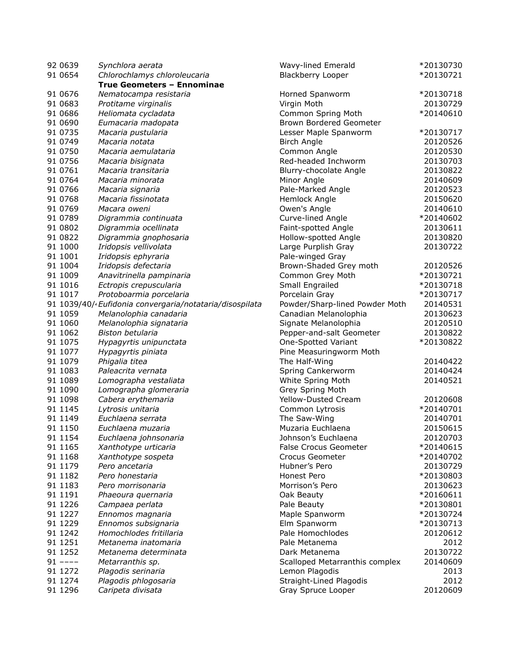| 92 0639   | Synchlora aerata                                         | Wavy-lined Emerald                      | *20130730 |
|-----------|----------------------------------------------------------|-----------------------------------------|-----------|
| 91 0654   | Chlorochlamys chloroleucaria                             | <b>Blackberry Looper</b>                | *20130721 |
|           | True Geometers - Ennominae                               |                                         |           |
| 91 0676   | Nematocampa resistaria                                   | Horned Spanworm                         | *20130718 |
| 91 0683   | Protitame virginalis                                     | Virgin Moth                             | 20130729  |
| 91 0686   | Heliomata cycladata                                      | Common Spring Moth                      | *20140610 |
| 91 0690   | Eumacaria madopata                                       | Brown Bordered Geometer                 |           |
| 91 0735   | Macaria pustularia                                       | Lesser Maple Spanworm                   | *20130717 |
| 91 0749   | Macaria notata                                           | <b>Birch Angle</b>                      | 20120526  |
| 91 0750   | Macaria aemulataria                                      | Common Angle                            | 20120530  |
| 91 0756   | Macaria bisignata                                        | Red-headed Inchworm                     | 20130703  |
| 91 0761   | Macaria transitaria                                      | Blurry-chocolate Angle                  | 20130822  |
| 91 0764   | Macaria minorata                                         | Minor Angle                             | 20140609  |
| 91 0766   | Macaria signaria                                         | Pale-Marked Angle                       | 20120523  |
| 91 0768   | Macaria fissinotata                                      | Hemlock Angle                           | 20150620  |
| 91 0769   | Macara oweni                                             | Owen's Angle                            | 20140610  |
| 91 0789   | Digrammia continuata                                     | Curve-lined Angle                       | *20140602 |
| 91 0802   | Digrammia ocellinata                                     | Faint-spotted Angle                     | 20130611  |
| 91 0822   |                                                          | Hollow-spotted Angle                    | 20130820  |
| 91 1000   | Digrammia gnophosaria                                    |                                         | 20130722  |
|           | Iridopsis vellivolata                                    | Large Purplish Gray<br>Pale-winged Gray |           |
| 91 1001   | Iridopsis ephyraria                                      | Brown-Shaded Grey moth                  |           |
| 91 1004   | Iridopsis defectaria                                     |                                         | 20120526  |
| 91 1009   | Anavitrinella pampinaria                                 | Common Grey Moth                        | *20130721 |
| 91 1016   | Ectropis crepuscularia                                   | Small Engrailed                         | *20130718 |
| 91 1017   | Protoboarmia porcelaria                                  | Porcelain Gray                          | *20130717 |
|           | 91 1039/40/· Eufidonia convergaria/notataria/disospilata | Powder/Sharp-lined Powder Moth          | 20140531  |
| 91 1059   | Melanolophia canadaria                                   | Canadian Melanolophia                   | 20130623  |
| 91 1060   | Melanolophia signataria                                  | Signate Melanolophia                    | 20120510  |
| 91 1062   | Biston betularia                                         | Pepper-and-salt Geometer                | 20130822  |
| 91 1075   | Hypagyrtis unipunctata                                   | One-Spotted Variant                     | *20130822 |
| 91 1077   | Hypagyrtis piniata                                       | Pine Measuringworm Moth                 |           |
| 91 1079   | Phigalia titea                                           | The Half-Wing                           | 20140422  |
| 91 1083   | Paleacrita vernata                                       | Spring Cankerworm                       | 20140424  |
| 91 1089   | Lomographa vestaliata                                    | White Spring Moth                       | 20140521  |
| 91 1090   | Lomographa glomeraria                                    | Grey Spring Moth                        |           |
| 91 1098   | Cabera erythemaria                                       | Yellow-Dusted Cream                     | 20120608  |
| 91 1145   | Lytrosis unitaria                                        | Common Lytrosis                         | *20140701 |
| 91 1149   | Euchlaena serrata                                        | The Saw-Wing                            | 20140701  |
| 91 1150   | Euchlaena muzaria                                        | Muzaria Euchlaena                       | 20150615  |
| 91 1154   | Euchlaena johnsonaria                                    | Johnson's Euchlaena                     | 20120703  |
| 91 1165   | Xanthotype urticaria                                     | <b>False Crocus Geometer</b>            | *20140615 |
| 91 1168   | Xanthotype sospeta                                       | Crocus Geometer                         | *20140702 |
| 91 1179   | Pero ancetaria                                           | Hubner's Pero                           | 20130729  |
| 91 1182   | Pero honestaria                                          | Honest Pero                             | *20130803 |
| 91 1183   | Pero morrisonaria                                        | Morrison's Pero                         | 20130623  |
| 91 1191   | Phaeoura quernaria                                       | Oak Beauty                              | *20160611 |
| 91 1226   | Campaea perlata                                          | Pale Beauty                             | *20130801 |
| 91 1227   | Ennomos magnaria                                         | Maple Spanworm                          | *20130724 |
| 91 1229   | Ennomos subsignaria                                      | Elm Spanworm                            | *20130713 |
| 91 1242   | Homochlodes fritillaria                                  | Pale Homochlodes                        | 20120612  |
| 91 1251   | Metanema inatomaria                                      | Pale Metanema                           | 2012      |
| 91 1252   | Metanema determinata                                     | Dark Metanema                           | 20130722  |
| $91$ ---- | Metarranthis sp.                                         | Scalloped Metarranthis complex          | 20140609  |
| 91 1272   | Plagodis serinaria                                       | Lemon Plagodis                          | 2013      |
| 91 1274   | Plagodis phlogosaria                                     | Straight-Lined Plagodis                 | 2012      |
| 91 1296   | Caripeta divisata                                        | Gray Spruce Looper                      | 20120609  |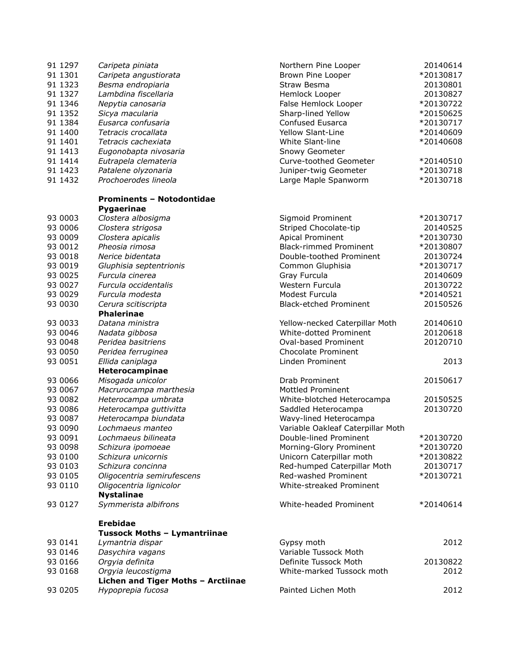| 91 1297  | Caripeta piniata                    | Northern Pine Looper              | 20140614  |
|----------|-------------------------------------|-----------------------------------|-----------|
| 91 1301  | Caripeta angustiorata               | Brown Pine Looper                 | *20130817 |
| 91 1323  | Besma endropiaria                   | Straw Besma                       | 20130801  |
| 91 1327  | Lambdina fiscellaria                | Hemlock Looper                    | 20130827  |
| 91 1346  | Nepytia canosaria                   | False Hemlock Looper              | *20130722 |
| 91 1352  | Sicya macularia                     | Sharp-lined Yellow                | *20150625 |
| 91 1384  | Eusarca confusaria                  | Confused Eusarca                  | *20130717 |
| 91 1400  | Tetracis crocallata                 | Yellow Slant-Line                 | *20140609 |
| 91 1401  | Tetracis cachexiata                 | White Slant-line                  | *20140608 |
| 91 1413  | Eugonobapta nivosaria               | Snowy Geometer                    |           |
| 91 14 14 | Eutrapela clemateria                | Curve-toothed Geometer            | *20140510 |
| 91 1423  | Patalene olyzonaria                 | Juniper-twig Geometer             | *20130718 |
| 91 1432  | Prochoerodes lineola                | Large Maple Spanworm              | *20130718 |
|          | <b>Prominents - Notodontidae</b>    |                                   |           |
|          | Pygaerinae                          |                                   |           |
| 93 0003  | Clostera albosigma                  | Sigmoid Prominent                 | *20130717 |
| 93 0006  | Clostera strigosa                   | Striped Chocolate-tip             | 20140525  |
| 93 0009  | Clostera apicalis                   | Apical Prominent                  | *20130730 |
| 93 0012  | Pheosia rimosa                      | <b>Black-rimmed Prominent</b>     | *20130807 |
| 93 0018  | Nerice bidentata                    | Double-toothed Prominent          | 20130724  |
| 93 0019  | Gluphisia septentrionis             | Common Gluphisia                  | *20130717 |
| 93 0025  | Furcula cinerea                     | Gray Furcula                      | 20140609  |
| 93 0027  |                                     | Western Furcula                   |           |
|          | Furcula occidentalis                | Modest Furcula                    | 20130722  |
| 93 0029  | Furcula modesta                     |                                   | *20140521 |
| 93 0030  | Cerura scitiscripta                 | <b>Black-etched Prominent</b>     | 20150526  |
| 93 0033  | <b>Phalerinae</b>                   |                                   |           |
|          | Datana ministra                     | Yellow-necked Caterpillar Moth    | 20140610  |
| 93 0046  | Nadata gibbosa                      | White-dotted Prominent            | 20120618  |
| 93 0048  | Peridea basitriens                  | Oval-based Prominent              | 20120710  |
| 93 0050  | Peridea ferruginea                  | <b>Chocolate Prominent</b>        |           |
| 93 0051  | Ellida caniplaga                    | Linden Prominent                  | 2013      |
|          | Heterocampinae                      |                                   |           |
| 93 0066  | Misogada unicolor                   | Drab Prominent                    | 20150617  |
| 93 0067  | Macrurocampa marthesia              | <b>Mottled Prominent</b>          |           |
| 93 0082  | Heterocampa umbrata                 | White-blotched Heterocampa        | 20150525  |
| 93 0086  | Heterocampa guttivitta              | Saddled Heterocampa               | 20130720  |
| 93 0087  | Heterocampa biundata                | Wavy-lined Heterocampa            |           |
| 93 0090  | Lochmaeus manteo                    | Variable Oakleaf Caterpillar Moth |           |
| 93 0091  | Lochmaeus bilineata                 | Double-lined Prominent            | *20130720 |
| 93 0098  | Schizura ipomoeae                   | Morning-Glory Prominent           | *20130720 |
| 93 0100  | Schizura unicornis                  | Unicorn Caterpillar moth          | *20130822 |
| 93 0103  | Schizura concinna                   | Red-humped Caterpillar Moth       | 20130717  |
| 93 0105  | Oligocentria semirufescens          | Red-washed Prominent              | *20130721 |
| 93 0110  | Oligocentria lignicolor             | White-streaked Prominent          |           |
|          | <b>Nystalinae</b>                   |                                   |           |
| 93 0127  | Symmerista albifrons                | White-headed Prominent            | *20140614 |
|          | <b>Erebidae</b>                     |                                   |           |
|          | <b>Tussock Moths - Lymantriinae</b> |                                   |           |
| 93 0141  | Lymantria dispar                    | Gypsy moth                        | 2012      |
| 93 0146  | Dasychira vagans                    | Variable Tussock Moth             |           |
| 93 0166  | Orgyia definita                     | Definite Tussock Moth             | 20130822  |
| 93 0168  | Orgyia leucostigma                  | White-marked Tussock moth         | 2012      |
|          | Lichen and Tiger Moths - Arctiinae  |                                   |           |
| 93 0205  | Hypoprepia fucosa                   | Painted Lichen Moth               | 2012      |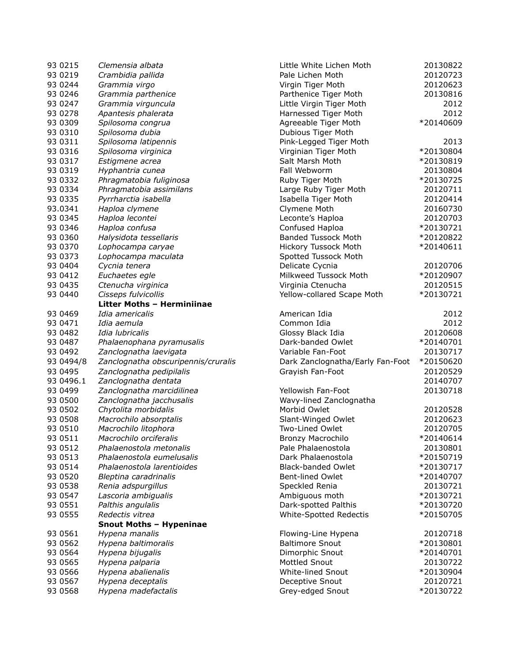| 93 0215   | Clemensia albata                    | Little White Lichen Moth         | 20130822  |
|-----------|-------------------------------------|----------------------------------|-----------|
| 93 0219   | Crambidia pallida                   | Pale Lichen Moth                 | 20120723  |
| 93 0244   | Grammia virgo                       | Virgin Tiger Moth                | 20120623  |
| 93 0 246  | Grammia parthenice                  | Parthenice Tiger Moth            | 20130816  |
| 93 0247   | Grammia virguncula                  | Little Virgin Tiger Moth         | 2012      |
| 93 0278   | Apantesis phalerata                 | Harnessed Tiger Moth             | 2012      |
| 93 0309   | Spilosoma congrua                   | Agreeable Tiger Moth             | *20140609 |
| 93 0310   | Spilosoma dubia                     | Dubious Tiger Moth               |           |
| 93 0311   | Spilosoma latipennis                | Pink-Legged Tiger Moth           | 2013      |
| 93 0316   | Spilosoma virginica                 | Virginian Tiger Moth             | *20130804 |
| 93 0317   | Estigmene acrea                     | Salt Marsh Moth                  | *20130819 |
| 93 0319   | Hyphantria cunea                    | Fall Webworm                     | 20130804  |
| 93 0332   |                                     | Ruby Tiger Moth                  | *20130725 |
|           | Phragmatobia fuliginosa             |                                  |           |
| 93 0334   | Phragmatobia assimilans             | Large Ruby Tiger Moth            | 20120711  |
| 93 0335   | Pyrrharctia isabella                | Isabella Tiger Moth              | 20120414  |
| 93.0341   | Haploa clymene                      | Clymene Moth                     | 20160730  |
| 93 0345   | Haploa lecontei                     | Leconte's Haploa                 | 20120703  |
| 93 0346   | Haploa confusa                      | Confused Haploa                  | *20130721 |
| 93 0360   | Halysidota tessellaris              | <b>Banded Tussock Moth</b>       | *20120822 |
| 93 0370   | Lophocampa caryae                   | Hickory Tussock Moth             | *20140611 |
| 93 0373   | Lophocampa maculata                 | Spotted Tussock Moth             |           |
| 93 0404   | Cycnia tenera                       | Delicate Cycnia                  | 20120706  |
| 93 0412   | Euchaetes egle                      | Milkweed Tussock Moth            | *20120907 |
| 93 0435   | Ctenucha virginica                  | Virginia Ctenucha                | 20120515  |
| 93 0440   | Cisseps fulvicollis                 | Yellow-collared Scape Moth       | *20130721 |
|           | Litter Moths - Herminiinae          |                                  |           |
| 93 0469   | Idia americalis                     | American Idia                    | 2012      |
| 93 0471   | Idia aemula                         | Common Idia                      | 2012      |
| 93 0482   | Idia lubricalis                     | Glossy Black Idia                | 20120608  |
| 93 0487   | Phalaenophana pyramusalis           | Dark-banded Owlet                | *20140701 |
| 93 0492   | Zanclognatha laevigata              | Variable Fan-Foot                | 20130717  |
| 93 0494/8 | Zanclognatha obscuripennis/cruralis | Dark Zanclognatha/Early Fan-Foot | *20150620 |
| 93 0495   | Zanclognatha pedipilalis            | Grayish Fan-Foot                 | 20120529  |
| 93 0496.1 | Zanclognatha dentata                |                                  | 20140707  |
| 93 0499   | Zanclognatha marcidilinea           | Yellowish Fan-Foot               | 20130718  |
| 93 0500   | Zanclognatha jacchusalis            |                                  |           |
|           | Chytolita morbidalis                | Wavy-lined Zanclognatha          |           |
| 93 0502   |                                     | Morbid Owlet                     | 20120528  |
| 93 0508   | Macrochilo absorptalis              | Slant-Winged Owlet               | 20120623  |
| 93 0510   | Macrochilo litophora                | Two-Lined Owlet                  | 20120705  |
| 93 0511   | Macrochilo orciferalis              | Bronzy Macrochilo                | *20140614 |
| 93 0512   | Phalaenostola metonalis             | Pale Phalaenostola               | 20130801  |
| 93 0513   | Phalaenostola eumelusalis           | Dark Phalaenostola               | *20150719 |
| 93 0514   | Phalaenostola larentioides          | <b>Black-banded Owlet</b>        | *20130717 |
| 93 05 20  | Bleptina caradrinalis               | <b>Bent-lined Owlet</b>          | *20140707 |
| 93 0538   | Renia adspurgillus                  | Speckled Renia                   | 20130721  |
| 93 0547   | Lascoria ambigualis                 | Ambiguous moth                   | *20130721 |
| 93 0551   | Palthis angulalis                   | Dark-spotted Palthis             | *20130720 |
| 93 0555   | Redectis vitrea                     | White-Spotted Redectis           | *20150705 |
|           | <b>Snout Moths - Hypeninae</b>      |                                  |           |
| 93 0561   | Hypena manalis                      | Flowing-Line Hypena              | 20120718  |
| 93 0562   | Hypena baltimoralis                 | <b>Baltimore Snout</b>           | *20130801 |
| 93 0564   | Hypena bijugalis                    | Dimorphic Snout                  | *20140701 |
| 93 0565   | Hypena palparia                     | Mottled Snout                    | 20130722  |
| 93 0566   | Hypena abalienalis                  | <b>White-lined Snout</b>         | *20130904 |
| 93 0567   | Hypena deceptalis                   | Deceptive Snout                  | 20120721  |
| 93 0568   | Hypena madefactalis                 | Grey-edged Snout                 | *20130722 |
|           |                                     |                                  |           |

| le White Lichen Moth           | 20130822  |
|--------------------------------|-----------|
| e Lichen Moth                  | 20120723  |
| gin Tiger Moth                 | 20120623  |
| thenice Tiger Moth             | 20130816  |
| le Virgin Tiger Moth           | 2012      |
| nessed Tiger Moth              | 2012      |
| eeable Tiger Moth              | *20140609 |
| bious Tiger Moth               |           |
| k-Legged Tiger Moth            | 2013      |
| ginian Tiger Moth              | *20130804 |
| t Marsh Moth                   | *20130819 |
|                                |           |
| Webworm                        | 20130804  |
| by Tiger Moth                  | *20130725 |
| ge Ruby Tiger Moth             | 20120711  |
| bella Tiger Moth               | 20120414  |
| mene Moth                      | 20160730  |
| onte's Haploa                  | 20120703  |
| nfused Haploa                  | *20130721 |
| nded Tussock Moth              | *20120822 |
| kory Tussock Moth              | *20140611 |
| otted Tussock Moth             |           |
| icate Cycnia                   | 20120706  |
| kweed Tussock Moth             | *20120907 |
| ginia Ctenucha                 | 20120515  |
| low-collared Scape Moth        | *20130721 |
|                                |           |
| erican Idia                    | 2012      |
| nmon Idia                      | 2012      |
| ssy Black Idia                 | 20120608  |
| k-banded Owlet                 | *20140701 |
| iable Fan-Foot                 | 20130717  |
|                                | *20150620 |
| rk Zanclognatha/Early Fan-Foot |           |
| yish Fan-Foot                  | 20120529  |
|                                | 20140707  |
| lowish Fan-Foot                | 20130718  |
| vy-lined Zanclognatha          |           |
| rbid Owlet                     | 20120528  |
| nt-Winged Owlet                | 20120623  |
| o-Lined Owlet                  | 20120705  |
| nzy Macrochilo                 | *20140614 |
| e Phalaenostola                | 20130801  |
| k Phalaenostola                | *20150719 |
| ck-banded Owlet                | *20130717 |
| nt-lined Owlet                 | *20140707 |
| eckled Renia                   | 20130721  |
| biguous moth                   | *20130721 |
| k-spotted Palthis              | *20130720 |
| ite-Spotted Redectis           | *20150705 |
|                                |           |
| wing-Line Hypena               | 20120718  |
| timore Snout                   | *20130801 |
| norphic Snout                  | *20140701 |
| ttled Snout                    | 20130722  |
| ite-lined Snout                | *20130904 |
|                                |           |
| ceptive Snout                  | 20120721  |
| y-edged Snout                  | *20130722 |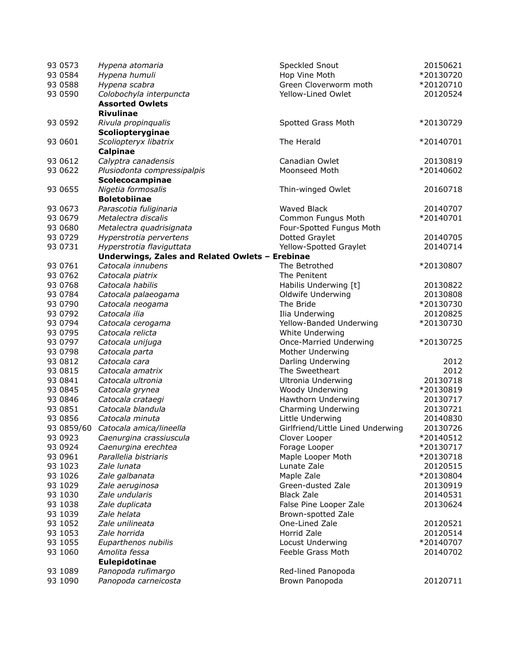| 93 0573    | Hypena atomaria                                 | Speckled Snout                       | 20150621  |
|------------|-------------------------------------------------|--------------------------------------|-----------|
| 93 0584    | Hypena humuli                                   | Hop Vine Moth                        | *20130720 |
| 93 0588    | Hypena scabra                                   | Green Cloverworm moth                | *20120710 |
| 93 0590    | Colobochyla interpuncta                         | Yellow-Lined Owlet                   | 20120524  |
|            | <b>Assorted Owlets</b>                          |                                      |           |
|            | <b>Rivulinae</b>                                |                                      |           |
| 93 0592    | Rivula propinqualis                             | Spotted Grass Moth                   | *20130729 |
|            | Scoliopteryginae                                |                                      |           |
| 93 0601    | Scoliopteryx libatrix                           | The Herald                           | *20140701 |
|            | <b>Calpinae</b>                                 |                                      |           |
| 93 0612    | Calyptra canadensis                             | Canadian Owlet                       | 20130819  |
| 93 0622    | Plusiodonta compressipalpis                     | Moonseed Moth                        | *20140602 |
|            | Scolecocampinae                                 |                                      |           |
| 93 0655    | Nigetia formosalis                              | Thin-winged Owlet                    | 20160718  |
|            | <b>Boletobiinae</b>                             |                                      |           |
| 93 0673    | Parascotia fuliginaria                          | Waved Black                          | 20140707  |
| 93 0679    | Metalectra discalis                             | Common Fungus Moth                   | *20140701 |
| 93 0680    | Metalectra quadrisignata                        | Four-Spotted Fungus Moth             |           |
| 93 0729    | Hyperstrotia pervertens                         | Dotted Graylet                       | 20140705  |
| 93 0731    | Hyperstrotia flaviguttata                       | Yellow-Spotted Graylet               | 20140714  |
|            | Underwings, Zales and Related Owlets - Erebinae |                                      |           |
| 93 0761    | Catocala innubens                               | The Betrothed                        | *20130807 |
| 93 0762    | Catocala piatrix                                | The Penitent                         |           |
| 93 0768    | Catocala habilis                                | Habilis Underwing [t]                | 20130822  |
| 93 0784    | Catocala palaeogama                             | Oldwife Underwing                    | 20130808  |
| 93 0790    | Catocala neogama                                | The Bride                            | *20130730 |
| 93 0792    | Catocala ilia                                   | Ilia Underwing                       | 20120825  |
| 93 0794    | Catocala cerogama                               | Yellow-Banded Underwing              | *20130730 |
| 93 0795    | Catocala relicta                                | White Underwing                      |           |
| 93 0797    | Catocala unijuga                                | Once-Married Underwing               | *20130725 |
| 93 0798    | Catocala parta                                  | Mother Underwing                     |           |
| 93 0812    | Catocala cara                                   | Darling Underwing                    | 2012      |
| 93 0815    | Catocala amatrix                                | The Sweetheart                       | 2012      |
| 93 0841    | Catocala ultronia                               | <b>Ultronia Underwing</b>            | 20130718  |
| 93 0845    | Catocala grynea                                 | Woody Underwing                      | *20130819 |
| 93 0846    | Catocala crataegi                               | Hawthorn Underwing                   | 20130717  |
| 93 0851    | Catocala blandula                               | Charming Underwing                   | 20130721  |
| 93 0856    | Catocala minuta                                 | Little Underwing                     | 20140830  |
| 93 0859/60 | Catocala amica/lineella                         | Girlfriend/Little Lined Underwing    | 20130726  |
| 93 0923    | Caenurgina crassiuscula                         | Clover Looper                        | *20140512 |
| 93 0924    | Caenurgina erechtea                             | Forage Looper                        | *20130717 |
| 93 0961    | Parallelia bistriaris                           | Maple Looper Moth                    | *20130718 |
| 93 1023    | Zale lunata                                     | Lunate Zale                          | 20120515  |
| 93 1026    | Zale galbanata                                  | Maple Zale                           | *20130804 |
| 93 1029    | Zale aeruginosa                                 | Green-dusted Zale                    | 20130919  |
| 93 1030    | Zale undularis                                  | <b>Black Zale</b>                    | 20140531  |
| 93 1038    | Zale duplicata                                  | False Pine Looper Zale               | 20130624  |
| 93 1039    |                                                 |                                      |           |
| 93 1052    | Zale helata<br>Zale unilineata                  | Brown-spotted Zale<br>One-Lined Zale | 20120521  |
|            | Zale horrida                                    | Horrid Zale                          |           |
| 93 1053    |                                                 |                                      | 20120514  |
| 93 1055    | Euparthenos nubilis                             | Locust Underwing                     | *20140707 |
| 93 1060    | Amolita fessa                                   | Feeble Grass Moth                    | 20140702  |
|            | <b>Eulepidotinae</b>                            |                                      |           |
| 93 1089    | Panopoda rufimargo                              | Red-lined Panopoda                   |           |
| 93 1090    | Panopoda carneicosta                            | Brown Panopoda                       | 20120711  |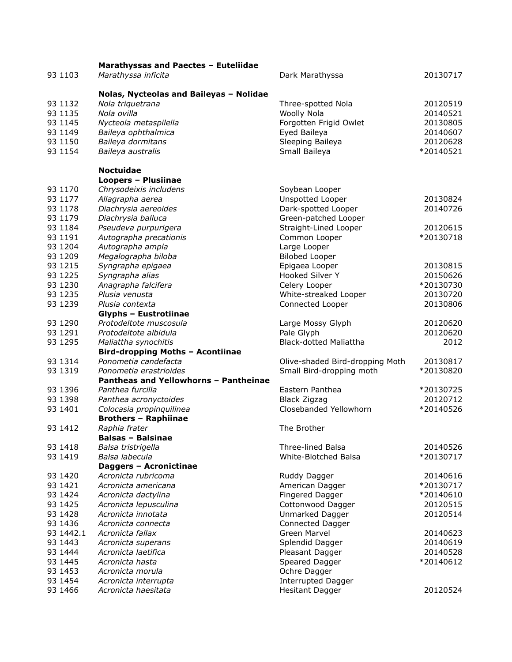|           | Marathyssas and Paectes - Euteliidae    |                                 |           |
|-----------|-----------------------------------------|---------------------------------|-----------|
| 93 1103   | Marathyssa inficita                     | Dark Marathyssa                 | 20130717  |
|           |                                         |                                 |           |
|           | Nolas, Nycteolas and Baileyas - Nolidae |                                 |           |
| 93 1132   | Nola triquetrana                        | Three-spotted Nola              | 20120519  |
| 93 1135   | Nola ovilla                             | Woolly Nola                     | 20140521  |
| 93 1145   | Nycteola metaspilella                   | Forgotten Frigid Owlet          | 20130805  |
| 93 1149   | Baileya ophthalmica                     | Eyed Baileya                    | 20140607  |
| 93 1150   | Baileya dormitans                       | Sleeping Baileya                | 20120628  |
| 93 1154   | Baileya australis                       | Small Baileya                   | *20140521 |
|           |                                         |                                 |           |
|           | <b>Noctuidae</b>                        |                                 |           |
|           | <b>Loopers - Plusiinae</b>              |                                 |           |
| 93 1170   | Chrysodeixis includens                  | Soybean Looper                  |           |
| 93 1177   | Allagrapha aerea                        | Unspotted Looper                | 20130824  |
| 93 1178   | Diachrysia aereoides                    | Dark-spotted Looper             | 20140726  |
| 93 1179   | Diachrysia balluca                      | Green-patched Looper            |           |
| 93 1184   | Pseudeva purpurigera                    | Straight-Lined Looper           | 20120615  |
| 93 1191   | Autographa precationis                  | Common Looper                   | *20130718 |
| 93 1204   | Autographa ampla                        | Large Looper                    |           |
| 93 1209   | Megalographa biloba                     | <b>Bilobed Looper</b>           |           |
| 93 1215   | Syngrapha epigaea                       | Epigaea Looper                  | 20130815  |
| 93 1225   | Syngrapha alias                         | Hooked Silver Y                 | 20150626  |
| 93 1230   | Anagrapha falcifera                     | Celery Looper                   | *20130730 |
| 93 1235   | Plusia venusta                          | White-streaked Looper           | 20130720  |
| 93 1239   | Plusia contexta                         | Connected Looper                | 20130806  |
|           | Glyphs - Eustrotiinae                   |                                 |           |
| 93 1290   | Protodeltote muscosula                  | Large Mossy Glyph               | 20120620  |
| 93 1291   | Protodeltote albidula                   | Pale Glyph                      | 20120620  |
| 93 1295   | Maliattha synochitis                    | <b>Black-dotted Maliattha</b>   | 2012      |
|           | <b>Bird-dropping Moths - Acontiinae</b> |                                 |           |
| 93 1314   | Ponometia candefacta                    | Olive-shaded Bird-dropping Moth | 20130817  |
| 93 1319   | Ponometia erastrioides                  | Small Bird-dropping moth        | *20130820 |
|           | Pantheas and Yellowhorns - Pantheinae   |                                 |           |
| 93 1396   | Panthea furcilla                        | Eastern Panthea                 | *20130725 |
| 93 1398   | Panthea acronyctoides                   | <b>Black Zigzag</b>             | 20120712  |
| 93 1401   | Colocasia propinquilinea                | Closebanded Yellowhorn          | *20140526 |
|           | <b>Brothers - Raphiinae</b>             |                                 |           |
| 93 1412   | Raphia frater                           | The Brother                     |           |
|           | <b>Balsas - Balsinae</b>                |                                 |           |
| 93 14 18  | Balsa tristrigella                      | <b>Three-lined Balsa</b>        | 20140526  |
| 93 14 19  | Balsa labecula                          | White-Blotched Balsa            | *20130717 |
|           | Daggers - Acronictinae                  |                                 |           |
| 93 1420   | Acronicta rubricoma                     | Ruddy Dagger                    | 20140616  |
| 93 1421   | Acronicta americana                     | American Dagger                 | *20130717 |
| 93 1424   | Acronicta dactylina                     | Fingered Dagger                 | *20140610 |
| 93 1425   | Acronicta lepusculina                   | Cottonwood Dagger               | 20120515  |
| 93 1428   | Acronicta innotata                      | Unmarked Dagger                 | 20120514  |
| 93 1436   | Acronicta connecta                      | Connected Dagger                |           |
| 93 1442.1 | Acronicta fallax                        | Green Marvel                    | 20140623  |
| 93 1443   | Acronicta superans                      | Splendid Dagger                 | 20140619  |
| 93 1444   | Acronicta laetifica                     | Pleasant Dagger                 | 20140528  |
| 93 1445   | Acronicta hasta                         | Speared Dagger                  | *20140612 |
| 93 1453   | Acronicta morula                        | Ochre Dagger                    |           |
| 93 1454   | Acronicta interrupta                    | <b>Interrupted Dagger</b>       |           |
| 93 1466   | Acronicta haesitata                     | <b>Hesitant Dagger</b>          | 20120524  |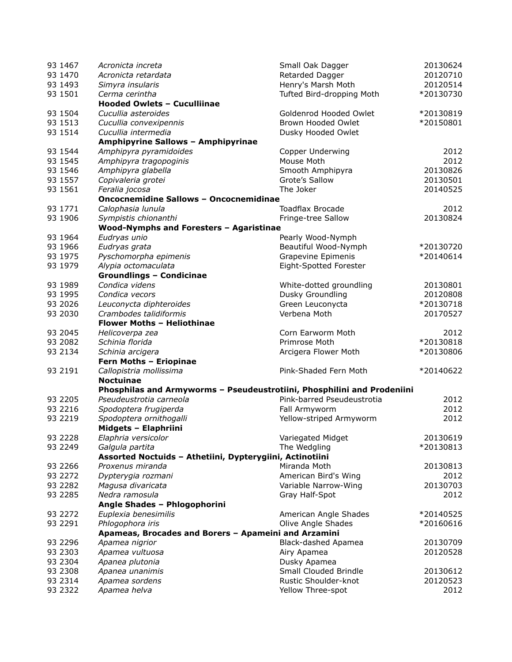| 93 1467 | Acronicta increta                                        | Small Oak Dagger                                                        | 20130624  |
|---------|----------------------------------------------------------|-------------------------------------------------------------------------|-----------|
| 93 1470 | Acronicta retardata                                      | Retarded Dagger                                                         | 20120710  |
| 93 1493 | Simyra insularis                                         | Henry's Marsh Moth                                                      | 20120514  |
| 93 1501 | Cerma cerintha                                           | Tufted Bird-dropping Moth                                               | *20130730 |
|         | <b>Hooded Owlets - Cuculliinae</b>                       |                                                                         |           |
| 93 1504 | Cucullia asteroides                                      | Goldenrod Hooded Owlet                                                  | *20130819 |
| 93 1513 | Cucullia convexipennis                                   | Brown Hooded Owlet                                                      | *20150801 |
| 93 1514 | Cucullia intermedia                                      | Dusky Hooded Owlet                                                      |           |
|         | Amphipyrine Sallows - Amphipyrinae                       |                                                                         |           |
| 93 1544 | Amphipyra pyramidoides                                   | Copper Underwing                                                        | 2012      |
| 93 1545 | Amphipyra tragopoginis                                   | Mouse Moth                                                              | 2012      |
| 93 1546 | Amphipyra glabella                                       | Smooth Amphipyra                                                        | 20130826  |
| 93 1557 | Copivaleria grotei                                       | Grote's Sallow                                                          | 20130501  |
| 93 1561 | Feralia jocosa                                           | The Joker                                                               | 20140525  |
|         | <b>Oncocnemidine Sallows - Oncocnemidinae</b>            |                                                                         |           |
| 93 1771 | Calophasia lunula                                        | <b>Toadflax Brocade</b>                                                 | 2012      |
| 93 1906 | Sympistis chionanthi                                     | Fringe-tree Sallow                                                      | 20130824  |
|         | Wood-Nymphs and Foresters - Agaristinae                  |                                                                         |           |
| 93 1964 | Eudryas unio                                             | Pearly Wood-Nymph                                                       |           |
| 93 1966 | Eudryas grata                                            | Beautiful Wood-Nymph                                                    | *20130720 |
| 93 1975 | Pyschomorpha epimenis                                    | Grapevine Epimenis                                                      | *20140614 |
| 93 1979 | Alypia octomaculata                                      | Eight-Spotted Forester                                                  |           |
|         | <b>Groundlings - Condicinae</b>                          |                                                                         |           |
| 93 1989 | Condica videns                                           | White-dotted groundling                                                 | 20130801  |
| 93 1995 | Condica vecors                                           | Dusky Groundling                                                        | 20120808  |
| 93 2026 | Leuconycta diphteroides                                  | Green Leuconycta                                                        | *20130718 |
| 93 2030 | Crambodes talidiformis                                   | Verbena Moth                                                            | 20170527  |
|         | Flower Moths - Heliothinae                               |                                                                         |           |
| 93 2045 | Helicoverpa zea                                          | Corn Earworm Moth                                                       | 2012      |
| 93 2082 | Schinia florida                                          | Primrose Moth                                                           | *20130818 |
| 93 2134 | Schinia arcigera                                         | Arcigera Flower Moth                                                    | *20130806 |
|         | Fern Moths - Eriopinae                                   |                                                                         |           |
| 93 2191 | Callopistria mollissima                                  | Pink-Shaded Fern Moth                                                   | *20140622 |
|         | <b>Noctuinae</b>                                         |                                                                         |           |
|         |                                                          | Phosphilas and Armyworms - Pseudeustrotiini, Phosphilini and Prodeniini |           |
| 93 2205 | Pseudeustrotia carneola                                  | Pink-barred Pseudeustrotia                                              | 2012      |
| 93 2216 | Spodoptera frugiperda                                    | Fall Armyworm                                                           | 2012      |
| 93 2219 | Spodoptera ornithogalli                                  | Yellow-striped Armyworm                                                 | 2012      |
|         | Midgets - Elaphriini                                     |                                                                         |           |
| 93 2228 | Elaphria versicolor                                      | Variegated Midget                                                       | 20130619  |
| 93 2249 | Galgula partita                                          | The Wedgling                                                            | *20130813 |
|         | Assorted Noctuids - Athetiini, Dypterygiini, Actinotiini |                                                                         |           |
| 93 2266 | Proxenus miranda                                         | Miranda Moth                                                            | 20130813  |
| 93 2272 | Dypterygia rozmani                                       | American Bird's Wing                                                    | 2012      |
| 93 2282 | Magusa divaricata                                        | Variable Narrow-Wing                                                    | 20130703  |
| 93 2285 | Nedra ramosula                                           | Gray Half-Spot                                                          | 2012      |
|         | Angle Shades - Phlogophorini                             |                                                                         |           |
| 93 2272 | Euplexia benesimilis                                     | American Angle Shades                                                   | *20140525 |
| 93 2291 | Phlogophora iris                                         | Olive Angle Shades                                                      | *20160616 |
|         | Apameas, Brocades and Borers - Apameini and Arzamini     |                                                                         |           |
| 93 2296 | Apamea nigrior                                           | Black-dashed Apamea                                                     | 20130709  |
| 93 2303 | Apamea vultuosa                                          | Airy Apamea                                                             | 20120528  |
| 93 2304 | Apanea plutonia                                          | Dusky Apamea                                                            |           |
| 93 2308 | Apanea unanimis                                          | Small Clouded Brindle                                                   | 20130612  |
| 93 2314 | Apamea sordens                                           | Rustic Shoulder-knot                                                    | 20120523  |
| 93 2322 | Apamea helva                                             | Yellow Three-spot                                                       | 2012      |
|         |                                                          |                                                                         |           |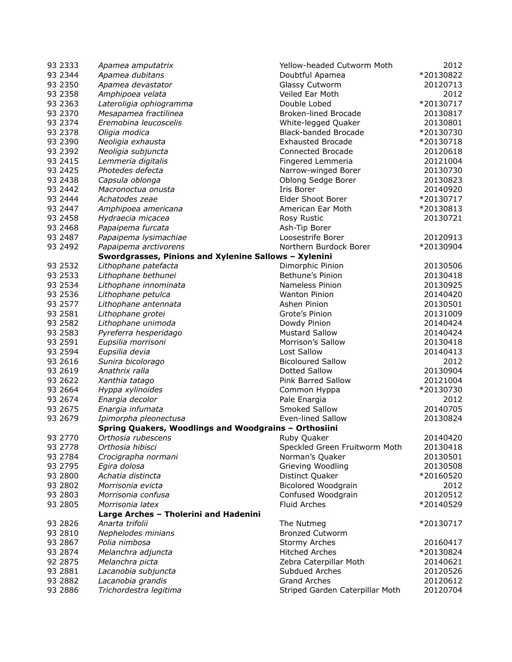| 93 2333  | Apamea amputatrix                                     | Yellow-headed Cutworm Moth      | 2012      |
|----------|-------------------------------------------------------|---------------------------------|-----------|
| 93 2344  | Apamea dubitans                                       | Doubtful Apamea                 | *20130822 |
| 93 2350  | Apamea devastator                                     | Glassy Cutworm                  | 20120713  |
| 93 2358  | Amphipoea velata                                      | Veiled Ear Moth                 | 2012      |
| 93 2363  | Lateroligia ophiogramma                               | Double Lobed                    | *20130717 |
| 93 2370  | Mesapamea fractilinea                                 | <b>Broken-lined Brocade</b>     | 20130817  |
| 93 2374  | Eremobina leucoscelis                                 | White-legged Quaker             | 20130801  |
| 93 2378  | Oligia modica                                         | <b>Black-banded Brocade</b>     | *20130730 |
| 93 2390  | Neoligia exhausta                                     | <b>Exhausted Brocade</b>        | *20130718 |
| 93 2392  | Neoligia subjuncta                                    | Connected Brocade               | 20120618  |
| 93 2415  | Lemmeria digitalis                                    | Fingered Lemmeria               | 20121004  |
| 93 24 25 | Photedes defecta                                      | Narrow-winged Borer             | 20130730  |
| 93 2438  | Capsula oblonga                                       | Oblong Sedge Borer              | 20130823  |
| 93 2442  | Macronoctua onusta                                    | Iris Borer                      | 20140920  |
| 93 2444  | Achatodes zeae                                        | Elder Shoot Borer               | *20130717 |
| 93 2447  | Amphipoea americana                                   | American Ear Moth               | *20130813 |
| 93 2458  | Hydraecia micacea                                     | Rosy Rustic                     | 20130721  |
| 93 2468  | Papaipema furcata                                     | Ash-Tip Borer                   |           |
| 93 2487  | Papaipema lysimachiae                                 | Loosestrife Borer               | 20120913  |
| 93 2492  | Papaipema arctivorens                                 | Northern Burdock Borer          | *20130904 |
|          | Swordgrasses, Pinions and Xylenine Sallows - Xylenini |                                 |           |
| 93 2532  | Lithophane patefacta                                  | Dimorphic Pinion                | 20130506  |
| 93 2533  | Lithophane bethunei                                   | Bethune's Pinion                | 20130418  |
| 93 2534  | Lithophane innominata                                 | Nameless Pinion                 | 20130925  |
| 93 2536  | Lithophane petulca                                    | <b>Wanton Pinion</b>            | 20140420  |
| 93 2577  | Lithophane antennata                                  | Ashen Pinion                    | 20130501  |
| 93 2581  | Lithophane grotei                                     | Grote's Pinion                  | 20131009  |
| 93 2582  | Lithophane unimoda                                    | Dowdy Pinion                    | 20140424  |
| 93 2583  | Pyreferra hesperidago                                 | <b>Mustard Sallow</b>           | 20140424  |
| 93 2591  | Eupsilia morrisoni                                    | Morrison's Sallow               | 20130418  |
| 93 2594  | Eupsilia devia                                        | Lost Sallow                     | 20140413  |
| 93 26 16 | Sunira bicolorago                                     | <b>Bicoloured Sallow</b>        | 2012      |
| 93 26 19 | Anathrix ralla                                        | Dotted Sallow                   | 20130904  |
| 93 26 22 | Xanthia tatago                                        | Pink Barred Sallow              | 20121004  |
| 93 2664  | Hyppa xylinoides                                      | Common Hyppa                    | *20130730 |
| 93 2674  | Enargia decolor                                       | Pale Enargia                    | 2012      |
| 93 2675  | Enargia infumata                                      | Smoked Sallow                   | 20140705  |
| 93 2679  | Ipimorpha pleonectusa                                 | Even-lined Sallow               | 20130824  |
|          | Spring Quakers, Woodlings and Woodgrains - Orthosiini |                                 |           |
| 93 2770  | Orthosia rubescens                                    | Ruby Quaker                     | 20140420  |
| 93 2778  | Orthosia hibisci                                      | Speckled Green Fruitworm Moth   | 20130418  |
| 93 2784  | Crocigrapha normani                                   | Norman's Quaker                 | 20130501  |
| 93 2795  | Egira dolosa                                          | Grieving Woodling               | 20130508  |
| 93 2800  | Achatia distincta                                     | Distinct Quaker                 | *20160520 |
| 93 2802  | Morrisonia evicta                                     | Bicolored Woodgrain             | 2012      |
| 93 2803  | Morrisonia confusa                                    | Confused Woodgrain              | 20120512  |
| 93 2805  | Morrisonia latex                                      | <b>Fluid Arches</b>             | *20140529 |
|          | Large Arches - Tholerini and Hadenini                 |                                 |           |
| 93 28 26 | Anarta trifolii                                       | The Nutmeg                      | *20130717 |
| 93 28 10 | Nephelodes minians                                    | <b>Bronzed Cutworm</b>          |           |
| 93 2867  | Polia nimbosa                                         | <b>Stormy Arches</b>            | 20160417  |
| 93 2874  | Melanchra adjuncta                                    | <b>Hitched Arches</b>           | *20130824 |
| 92 2875  | Melanchra picta                                       | Zebra Caterpillar Moth          | 20140621  |
| 93 2881  | Lacanobia subjuncta                                   | Subdued Arches                  | 20120526  |
| 93 2882  | Lacanobia grandis                                     | <b>Grand Arches</b>             | 20120612  |
| 93 2886  | Trichordestra legitima                                | Striped Garden Caterpillar Moth | 20120704  |